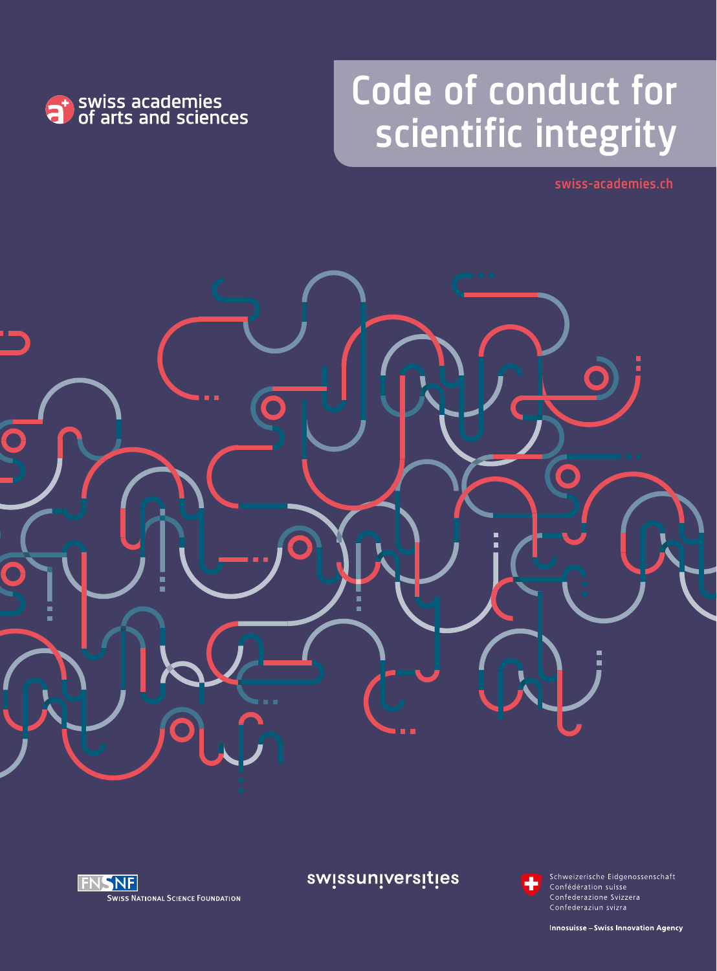

# Code of conduct for scientific integrity

swiss-academies.ch





swissuniversities

Confédération suisse<br>Confederazione Svizzera Confederaziun svizra

**Innosuisse-Swiss Innovation Agency**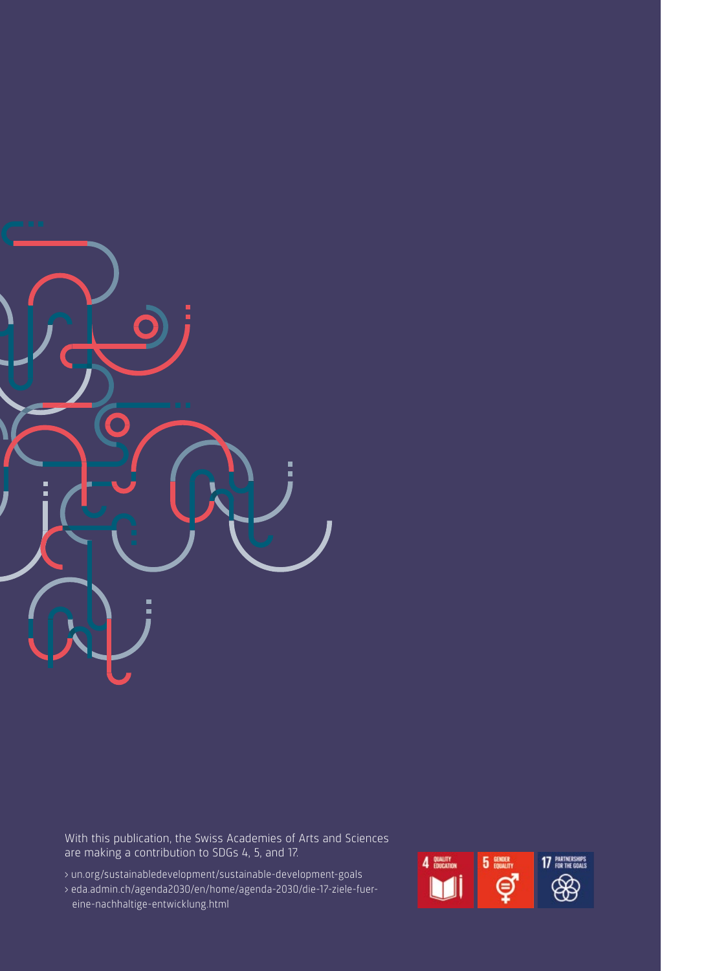

With this publication, the Swiss Academies of Arts and Sciences are making a contribution to SDGs 4, 5, and 17.

> un.org/sustainabledevelopment/sustainable-development-goals

> eda.admin.ch/agenda2030/en/home/agenda-2030/die-17-ziele-fuer eine-nachhaltige-entwicklung.html

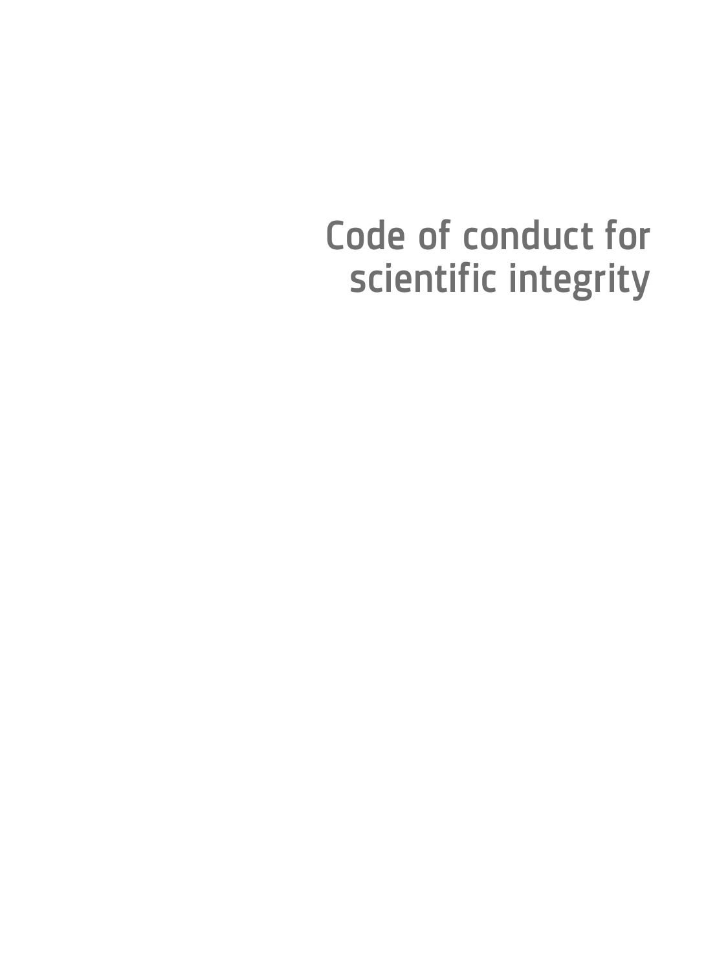# Code of conduct for scientific integrity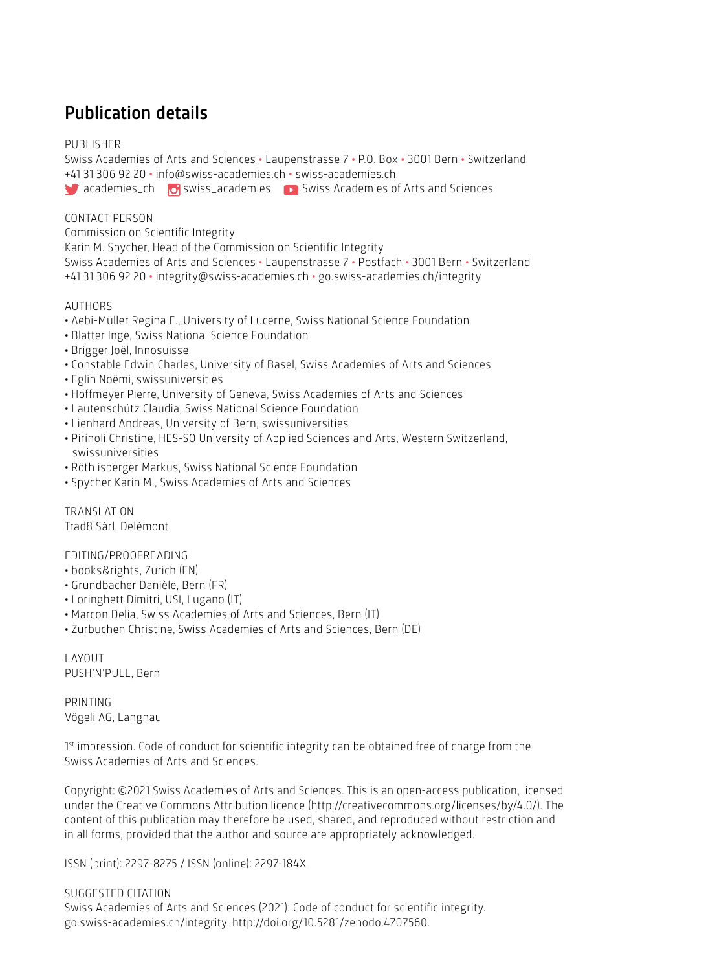# Publication details

PUBLISHER

Swiss Academies of Arts and Sciences • Laupenstrasse 7 • P.O. Box • 3001 Bern • Switzerland +41 31 306 92 20 • info@swiss-academies.ch • swiss-academies.ch Statemies\_ch **o** swiss\_academies Swiss Academies of Arts and Sciences

#### CONTACT PERSON

Commission on Scientific Integrity

Karin M. Spycher, Head of the Commission on Scientific Integrity

Swiss Academies of Arts and Sciences • Laupenstrasse 7 • Postfach • 3001 Bern • Switzerland +41 31 306 92 20 • integrity@swiss-academies.ch • go.swiss-academies.ch/integrity

AUTHORS

- Aebi-Müller Regina E., University of Lucerne, Swiss National Science Foundation
- Blatter Inge, Swiss National Science Foundation
- Brigger Joël, Innosuisse
- Constable Edwin Charles, University of Basel, Swiss Academies of Arts and Sciences
- Eglin Noëmi, swissuniversities
- Hoffmeyer Pierre, University of Geneva, Swiss Academies of Arts and Sciences
- Lautenschütz Claudia, Swiss National Science Foundation
- Lienhard Andreas, University of Bern, swissuniversities
- Pirinoli Christine, HES-SO University of Applied Sciences and Arts, Western Switzerland, swissuniversities
- Röthlisberger Markus, Swiss National Science Foundation
- Spycher Karin M., Swiss Academies of Arts and Sciences

TRANSLATION Trad8 Sàrl, Delémont

EDITING/PROOFREADING

- books&rights, Zurich (EN)
- Grundbacher Danièle, Bern (FR)
- Loringhett Dimitri, USI, Lugano (IT)
- Marcon Delia, Swiss Academies of Arts and Sciences, Bern (IT)
- Zurbuchen Christine, Swiss Academies of Arts and Sciences, Bern (DE)

LAYOUT PUSH'N'PULL, Bern

PRINTING Vögeli AG, Langnau

1<sup>st</sup> impression. Code of conduct for scientific integrity can be obtained free of charge from the Swiss Academies of Arts and Sciences.

Copyright: ©2021 Swiss Academies of Arts and Sciences. This is an open-access publication, licensed under the Creative Commons Attribution licence (http://creativecommons.org/licenses/by/4.0/). The content of this publication may therefore be used, shared, and reproduced without restriction and in all forms, provided that the author and source are appropriately acknowledged.

ISSN (print): 2297-8275 / ISSN (online): 2297-184X

SUGGESTED CITATION Swiss Academies of Arts and Sciences (2021): Code of conduct for scientific integrity. go.swiss-academies.ch/integrity. http://doi.org/10.5281/zenodo.4707560.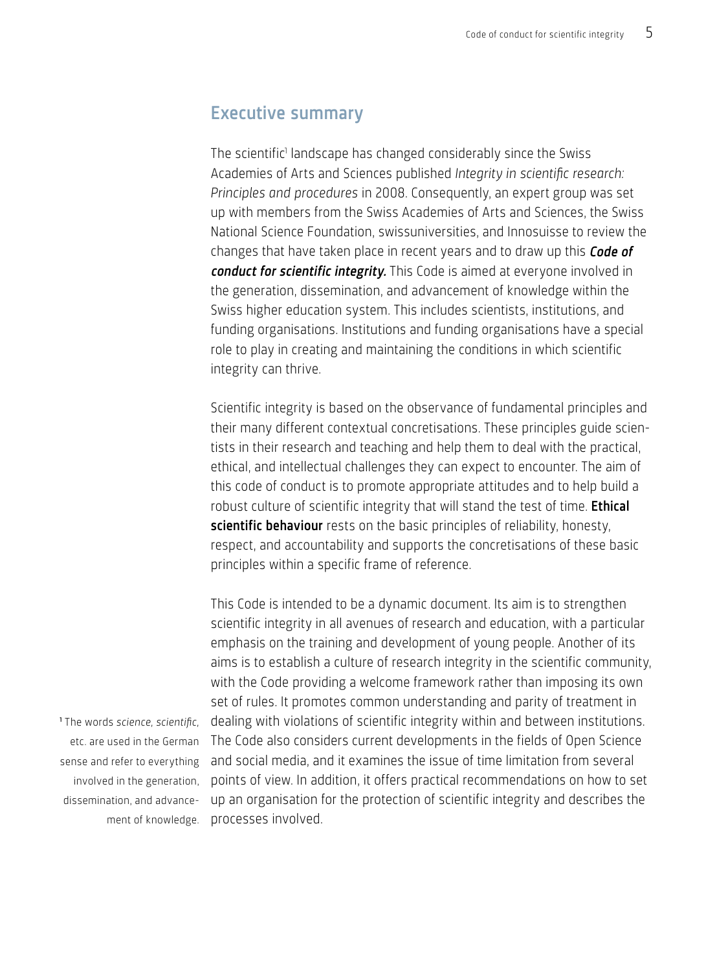### Executive summary

The scientific<sup>1</sup> landscape has changed considerably since the Swiss Academies of Arts and Sciences published *Integrity in scientific research: Principles and procedures* in 2008. Consequently, an expert group was set up with members from the Swiss Academies of Arts and Sciences, the Swiss National Science Foundation, swissuniversities, and Innosuisse to review the changes that have taken place in recent years and to draw up this Code of conduct for scientific integrity. This Code is aimed at everyone involved in the generation, dissemination, and advancement of knowledge within the Swiss higher education system. This includes scientists, institutions, and funding organisations. Institutions and funding organisations have a special role to play in creating and maintaining the conditions in which scientific integrity can thrive.

Scientific integrity is based on the observance of fundamental principles and their many different contextual concretisations. These principles guide scientists in their research and teaching and help them to deal with the practical, ethical, and intellectual challenges they can expect to encounter. The aim of this code of conduct is to promote appropriate attitudes and to help build a robust culture of scientific integrity that will stand the test of time. Ethical scientific behaviour rests on the basic principles of reliability, honesty, respect, and accountability and supports the concretisations of these basic principles within a specific frame of reference.

This Code is intended to be a dynamic document. Its aim is to strengthen scientific integrity in all avenues of research and education, with a particular emphasis on the training and development of young people. Another of its aims is to establish a culture of research integrity in the scientific community, with the Code providing a welcome framework rather than imposing its own set of rules. It promotes common understanding and parity of treatment in dealing with violations of scientific integrity within and between institutions. The Code also considers current developments in the fields of Open Science and social media, and it examines the issue of time limitation from several points of view. In addition, it offers practical recommendations on how to set up an organisation for the protection of scientific integrity and describes the ment of knowledge. processes involved.

<sup>1</sup> The words *science, scientific,*  etc. are used in the German sense and refer to everything involved in the generation, dissemination, and advance-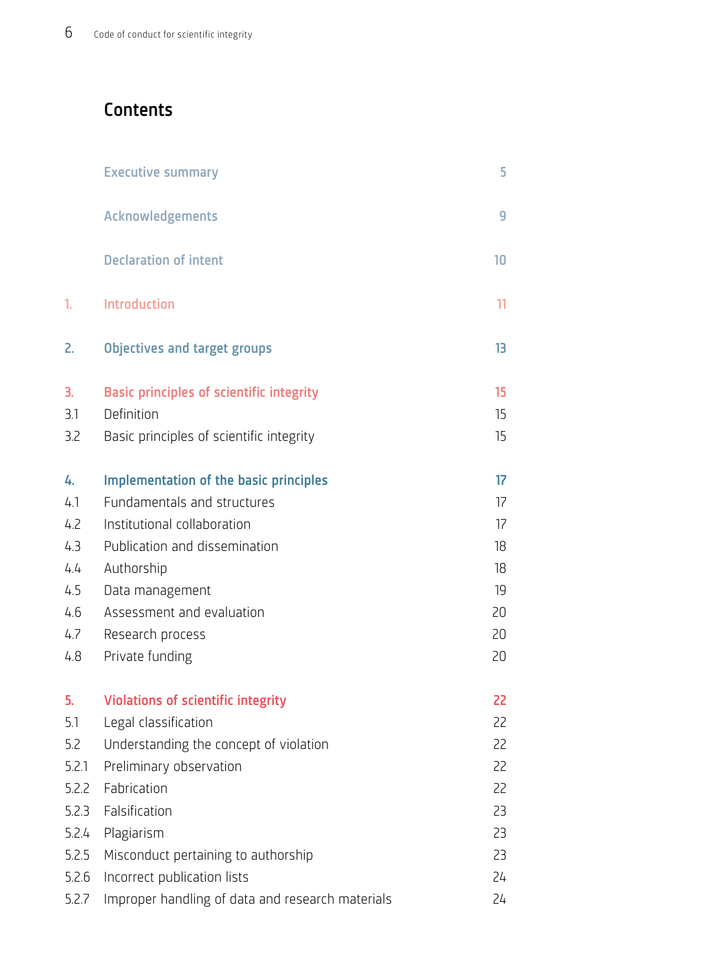# **Contents**

|       | <b>Executive summary</b>                         | 5  |
|-------|--------------------------------------------------|----|
|       | Acknowledgements                                 | 9  |
|       | <b>Declaration of intent</b>                     | 10 |
| 1.    | Introduction                                     | 11 |
| 2.    | Objectives and target groups                     | 13 |
| З.    | Basic principles of scientific integrity         | 15 |
| 3.1   | Definition                                       | 15 |
| 3.2   | Basic principles of scientific integrity         | 15 |
| 4.    | Implementation of the basic principles           | 17 |
| 4.1   | Fundamentals and structures                      | 17 |
| 4.2   | Institutional collaboration                      | 17 |
| 4.3   | Publication and dissemination                    | 18 |
| 4.4   | Authorship                                       | 18 |
| 4.5   | Data management                                  | 19 |
| 4.6   | Assessment and evaluation                        | 20 |
| 4.7   | Research process                                 | 20 |
| 4.8   | Private funding                                  | 20 |
| 5.    | Violations of scientific integrity               | 22 |
| 5.1   | Legal classification                             | 22 |
| 5.2   | Understanding the concept of violation           | 22 |
| 5.2.1 | Preliminary observation                          | 22 |
| 5.2.2 | Fabrication                                      | 22 |
| 5.2.3 | Falsification                                    | 23 |
| 5.2.4 | Plagiarism                                       | 23 |
| 5.2.5 | Misconduct pertaining to authorship              | 23 |
| 5.2.6 | Incorrect publication lists                      | 24 |
| 5.2.7 | Improper handling of data and research materials | 24 |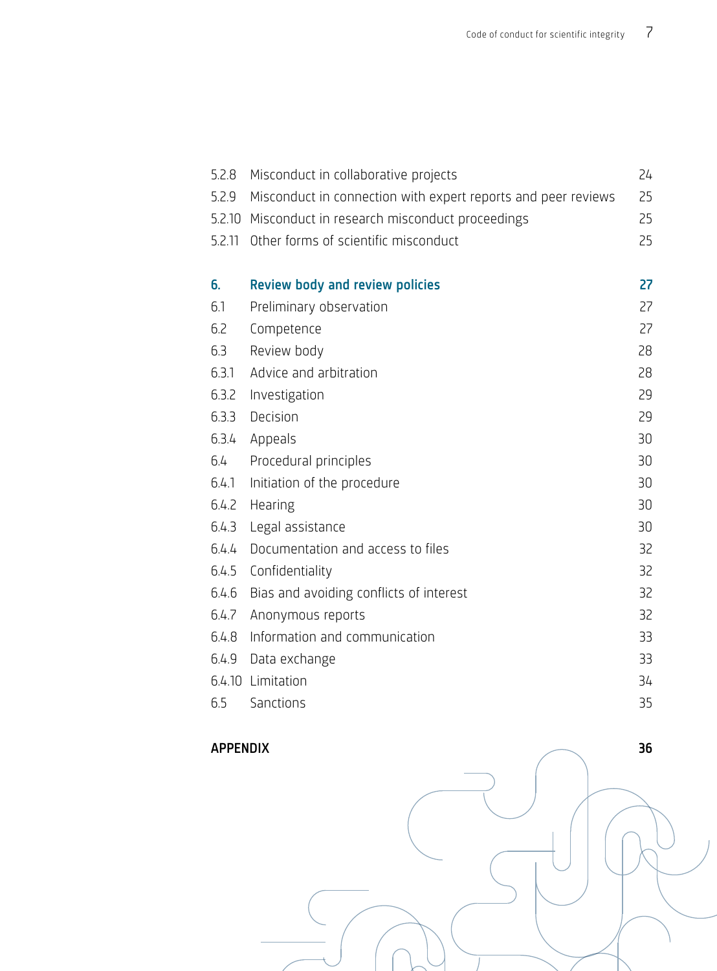|       | 5.2.8 Misconduct in collaborative projects                    | 24 |
|-------|---------------------------------------------------------------|----|
| 5.2.9 | Misconduct in connection with expert reports and peer reviews | 25 |
|       | 5.2.10 Misconduct in research misconduct proceedings          | 25 |
|       | 5.2.11 Other forms of scientific misconduct                   | 25 |
|       |                                                               |    |
| 6.    | Review body and review policies                               | 27 |
| 6.1   | Preliminary observation                                       | 27 |
| 6.2   | Competence                                                    | 27 |
| 6.3   | Review body                                                   | 28 |
| 6.3.1 | Advice and arbitration                                        | 28 |
| 6.3.2 | Investigation                                                 | 29 |
| 6.3.3 | Decision                                                      | 29 |
| 6.3.4 | Appeals                                                       | 30 |
| 6.4   | Procedural principles                                         | 30 |
| 6.4.1 | Initiation of the procedure                                   | 30 |
| 6.4.2 | Hearing                                                       | 30 |
|       | 6.4.3 Legal assistance                                        | 30 |
|       | 6.4.4 Documentation and access to files                       | 32 |
|       | 6.4.5 Confidentiality                                         | 32 |
| 6.4.6 | Bias and avoiding conflicts of interest                       | 32 |
|       | 6.4.7 Anonymous reports                                       | 32 |
| 6.4.8 | Information and communication                                 | 33 |
|       | 6.4.9 Data exchange                                           | 33 |
|       | 6.4.10 Limitation                                             | 34 |
| 6.5   | Sanctions                                                     | 35 |
|       |                                                               |    |

#### APPENDIX 36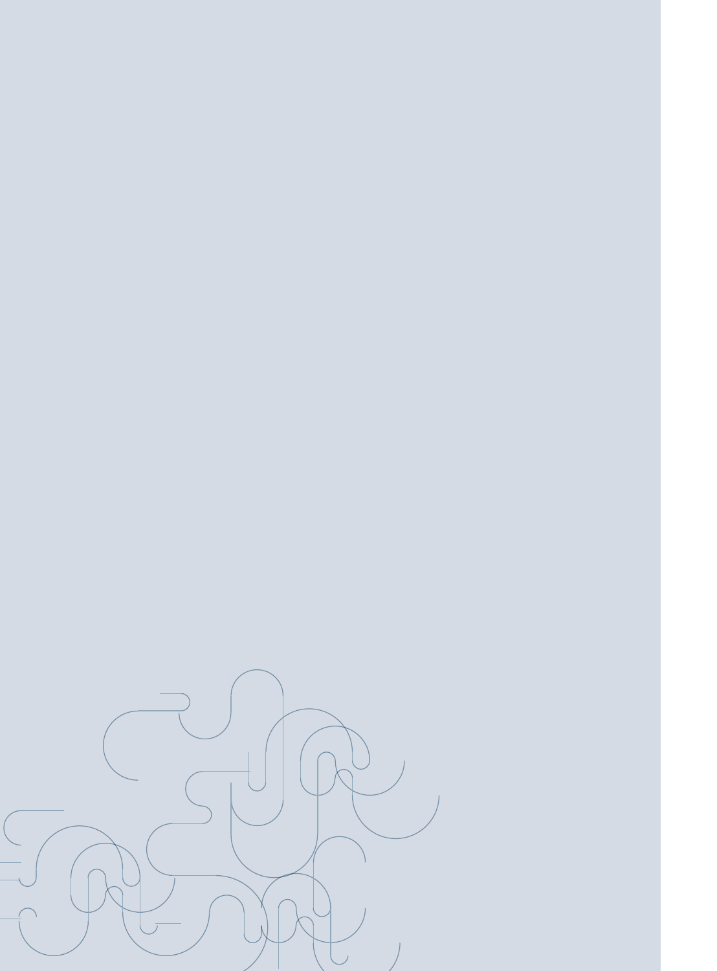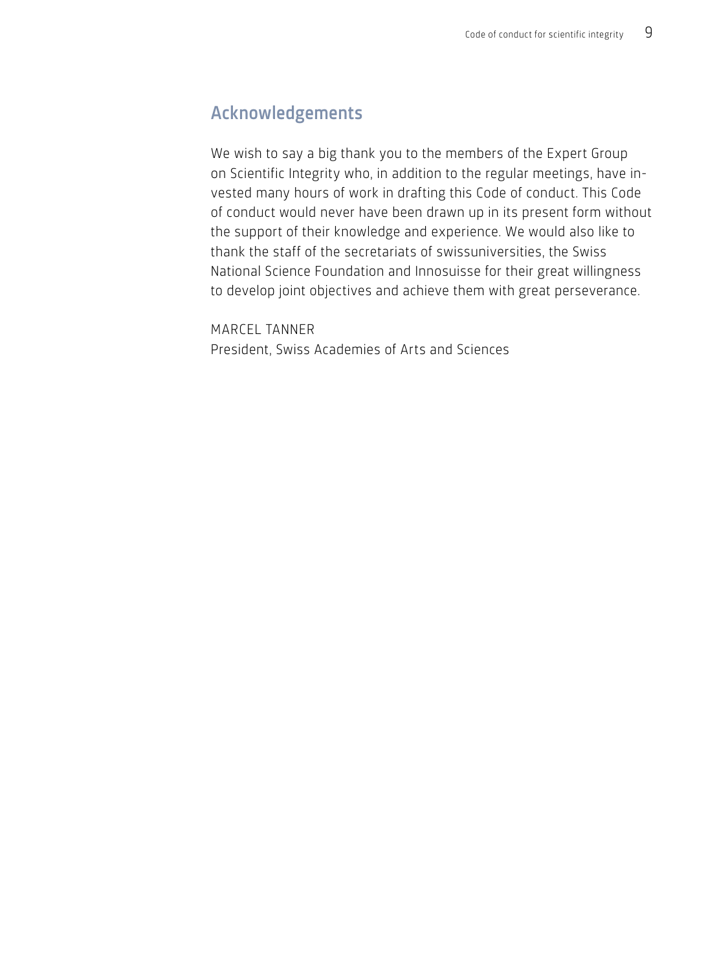# Acknowledgements

We wish to say a big thank you to the members of the Expert Group on Scientific Integrity who, in addition to the regular meetings, have invested many hours of work in drafting this Code of conduct. This Code of conduct would never have been drawn up in its present form without the support of their knowledge and experience. We would also like to thank the staff of the secretariats of swissuniversities, the Swiss National Science Foundation and Innosuisse for their great willingness to develop joint objectives and achieve them with great perseverance.

MARCEL TANNER President, Swiss Academies of Arts and Sciences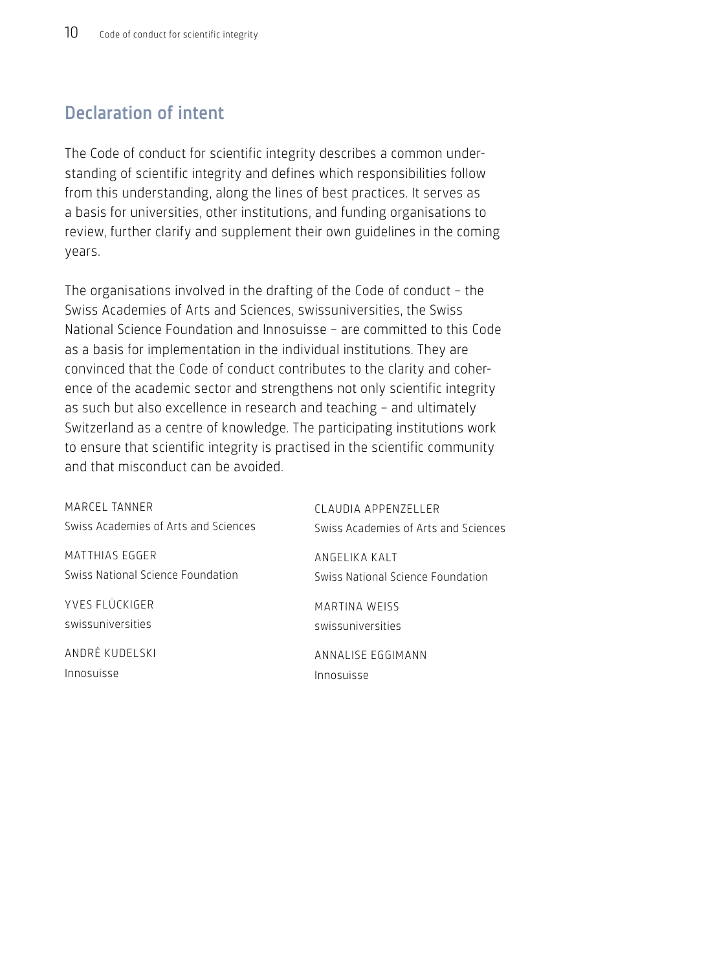# Declaration of intent

The Code of conduct for scientific integrity describes a common understanding of scientific integrity and defines which responsibilities follow from this understanding, along the lines of best practices. It serves as a basis for universities, other institutions, and funding organisations to review, further clarify and supplement their own guidelines in the coming years.

The organisations involved in the drafting of the Code of conduct – the Swiss Academies of Arts and Sciences, swissuniversities, the Swiss National Science Foundation and Innosuisse – are committed to this Code as a basis for implementation in the individual institutions. They are convinced that the Code of conduct contributes to the clarity and coherence of the academic sector and strengthens not only scientific integrity as such but also excellence in research and teaching – and ultimately Switzerland as a centre of knowledge. The participating institutions work to ensure that scientific integrity is practised in the scientific community and that misconduct can be avoided.

| MARCEL TANNER                        | CLAUDIA APPENZELLER                  |
|--------------------------------------|--------------------------------------|
| Swiss Academies of Arts and Sciences | Swiss Academies of Arts and Sciences |
| MATTHIAS EGGER                       | ANGELIKA KALT                        |
| Swiss National Science Foundation    | Swiss National Science Foundation    |
| YVES EI ÜCKIGER.                     | MARTINA WEISS                        |
| swissuniversities                    | swissuniversities                    |
| ANDRÉ KUDELSKI                       | ANNALISE EGGIMANN                    |
| Innosuisse                           | Innosuisse                           |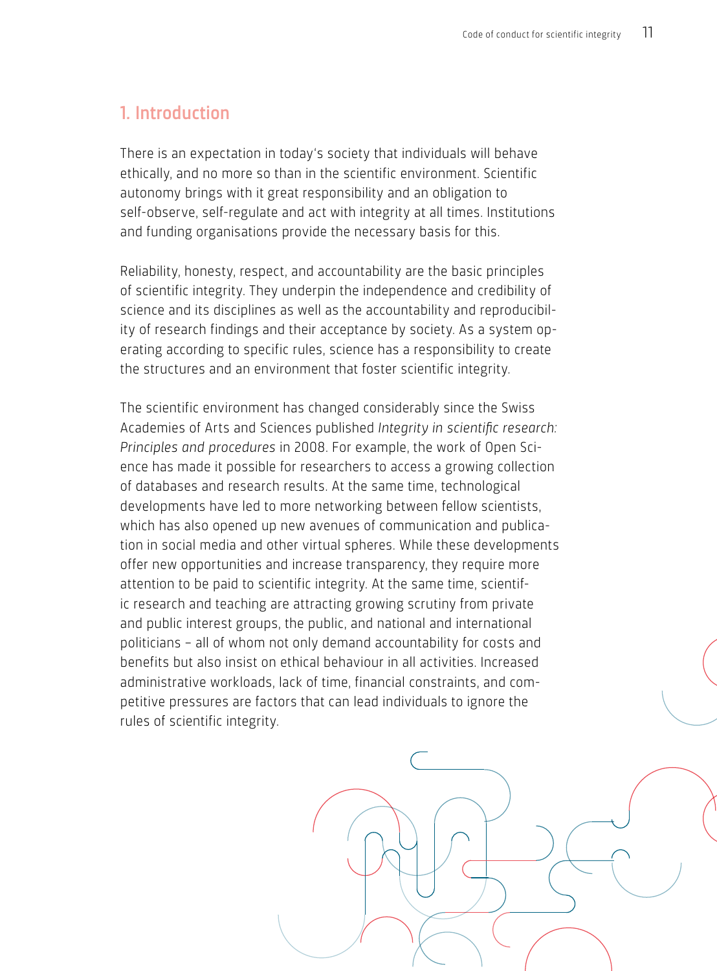## 1. Introduction

There is an expectation in today's society that individuals will behave ethically, and no more so than in the scientific environment. Scientific autonomy brings with it great responsibility and an obligation to self-observe, self-regulate and act with integrity at all times. Institutions and funding organisations provide the necessary basis for this.

Reliability, honesty, respect, and accountability are the basic principles of scientific integrity. They underpin the independence and credibility of science and its disciplines as well as the accountability and reproducibility of research findings and their acceptance by society. As a system operating according to specific rules, science has a responsibility to create the structures and an environment that foster scientific integrity.

The scientific environment has changed considerably since the Swiss Academies of Arts and Sciences published *Integrity in scientific research: Principles and procedures* in 2008. For example, the work of Open Science has made it possible for researchers to access a growing collection of databases and research results. At the same time, technological developments have led to more networking between fellow scientists, which has also opened up new avenues of communication and publication in social media and other virtual spheres. While these developments offer new opportunities and increase transparency, they require more attention to be paid to scientific integrity. At the same time, scientific research and teaching are attracting growing scrutiny from private and public interest groups, the public, and national and international politicians – all of whom not only demand accountability for costs and benefits but also insist on ethical behaviour in all activities. Increased administrative workloads, lack of time, financial constraints, and competitive pressures are factors that can lead individuals to ignore the rules of scientific integrity.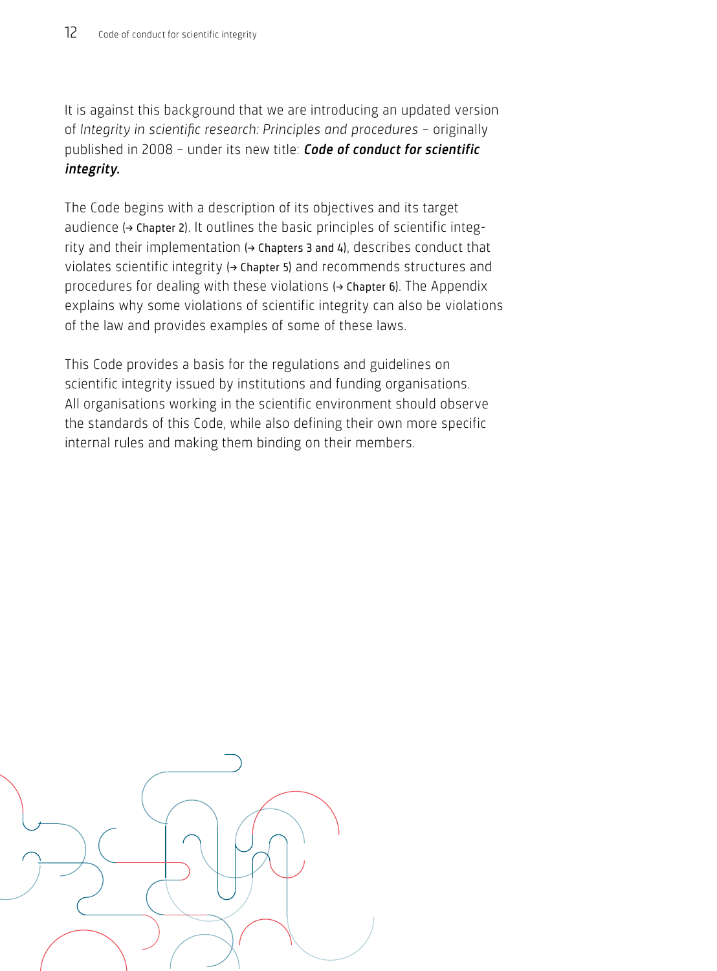It is against this background that we are introducing an updated version of *Integrity in scientific research: Principles and procedures* – originally published in 2008 - under its new title: Code of conduct for scientific integrity.

The Code begins with a description of its objectives and its target audience (→ Chapter 2). It outlines the basic principles of scientific integrity and their implementation (→ Chapters 3 and 4), describes conduct that violates scientific integrity (→ Chapter 5) and recommends structures and procedures for dealing with these violations (→ Chapter 6). The Appendix explains why some violations of scientific integrity can also be violations of the law and provides examples of some of these laws.

This Code provides a basis for the regulations and guidelines on scientific integrity issued by institutions and funding organisations. All organisations working in the scientific environment should observe the standards of this Code, while also defining their own more specific internal rules and making them binding on their members.

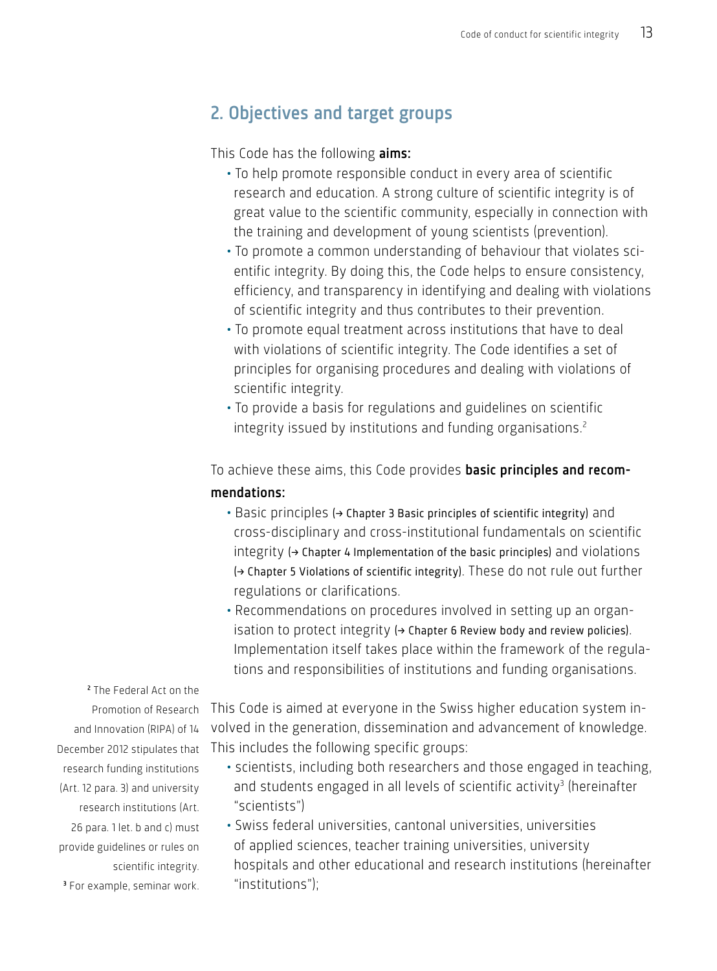# 2. Objectives and target groups

This Code has the following aims:

- To help promote responsible conduct in every area of scientific research and education. A strong culture of scientific integrity is of great value to the scientific community, especially in connection with the training and development of young scientists (prevention).
- To promote a common understanding of behaviour that violates scientific integrity. By doing this, the Code helps to ensure consistency, efficiency, and transparency in identifying and dealing with violations of scientific integrity and thus contributes to their prevention.
- To promote equal treatment across institutions that have to deal with violations of scientific integrity. The Code identifies a set of principles for organising procedures and dealing with violations of scientific integrity.
- To provide a basis for regulations and guidelines on scientific integrity issued by institutions and funding organisations.<sup>2</sup>

To achieve these aims, this Code provides basic principles and recommendations:

- Basic principles (→ Chapter 3 Basic principles of scientific integrity) and cross-disciplinary and cross-institutional fundamentals on scientific integrity (→ Chapter 4 Implementation of the basic principles) and violations (→ Chapter 5 Violations of scientific integrity). These do not rule out further regulations or clarifications.
- Recommendations on procedures involved in setting up an organisation to protect integrity (→ Chapter 6 Review body and review policies). Implementation itself takes place within the framework of the regulations and responsibilities of institutions and funding organisations.

This Code is aimed at everyone in the Swiss higher education system involved in the generation, dissemination and advancement of knowledge. This includes the following specific groups:

- scientists, including both researchers and those engaged in teaching, and students engaged in all levels of scientific activity<sup>3</sup> (hereinafter "scientists")
- Swiss federal universities, cantonal universities, universities of applied sciences, teacher training universities, university hospitals and other educational and research institutions (hereinafter "institutions");

<sup>2</sup> The Federal Act on the Promotion of Research and Innovation (RIPA) of 14 December 2012 stipulates that research funding institutions (Art. 12 para. 3) and university research institutions (Art. 26 para. 1 let. b and c) must provide guidelines or rules on scientific integrity. 3 For example, seminar work.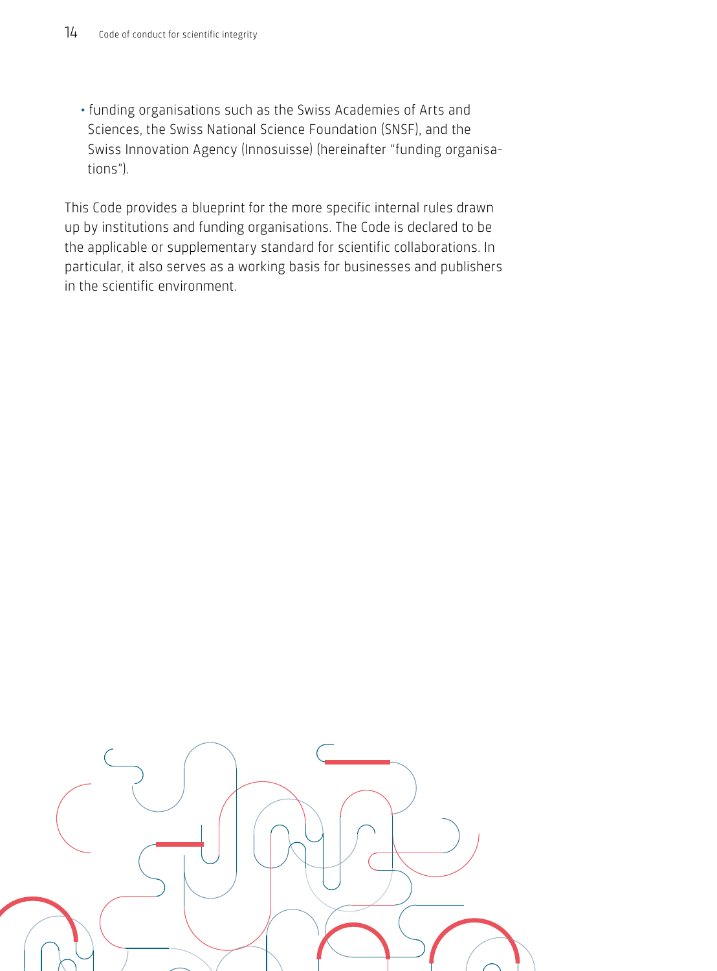• funding organisations such as the Swiss Academies of Arts and Sciences, the Swiss National Science Foundation (SNSF), and the Swiss Innovation Agency (Innosuisse) (hereinafter "funding organisations").

This Code provides a blueprint for the more specific internal rules drawn up by institutions and funding organisations. The Code is declared to be the applicable or supplementary standard for scientific collaborations. In particular, it also serves as a working basis for businesses and publishers in the scientific environment.

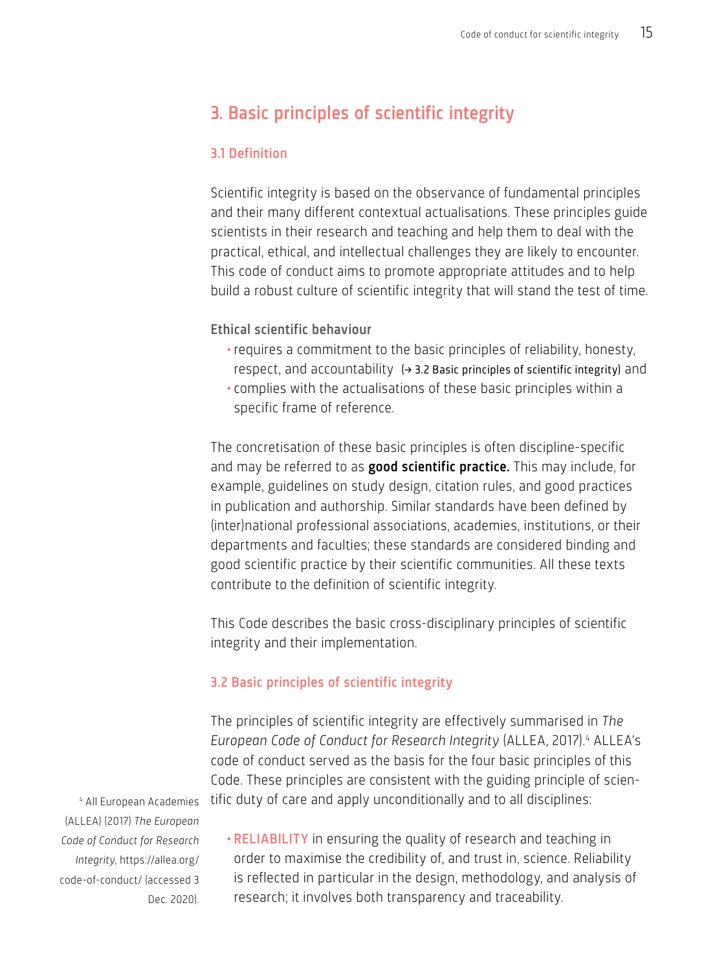# 3. Basic principles of scientific integrity

#### 3.1 Definition

Scientific integrity is based on the observance of fundamental principles and their many different contextual actualisations. These principles guide scientists in their research and teaching and help them to deal with the practical, ethical, and intellectual challenges they are likely to encounter. This code of conduct aims to promote appropriate attitudes and to help build a robust culture of scientific integrity that will stand the test of time.

Ethical scientific behaviour

- requires a commitment to the basic principles of reliability, honesty, respect, and accountability (→ 3.2 Basic principles of scientific integrity) and
- complies with the actualisations of these basic principles within a specific frame of reference.

The concretisation of these basic principles is often discipline-specific and may be referred to as **good scientific practice**. This may include, for example, guidelines on study design, citation rules, and good practices in publication and authorship. Similar standards have been defined by (inter)national professional associations, academies, institutions, or their departments and faculties; these standards are considered binding and good scientific practice by their scientific communities. All these texts contribute to the definition of scientific integrity.

This Code describes the basic cross-disciplinary principles of scientific integrity and their implementation.

#### 3.2 Basic principles of scientific integrity

The principles of scientific integrity are effectively summarised in *The European Code of Conduct for Research Integrity* (ALLEA, 2017).4 ALLEA's code of conduct served as the basis for the four basic principles of this Code. These principles are consistent with the guiding principle of scientific duty of care and apply unconditionally and to all disciplines:

4 All European Academies (ALLEA) (2017) *The European Code of Conduct for Research Integrity*, https://allea.org/ code-of-conduct/ (accessed 3 Dec. 2020).

• RELIABILITY in ensuring the quality of research and teaching in order to maximise the credibility of, and trust in, science. Reliability is reflected in particular in the design, methodology, and analysis of research; it involves both transparency and traceability.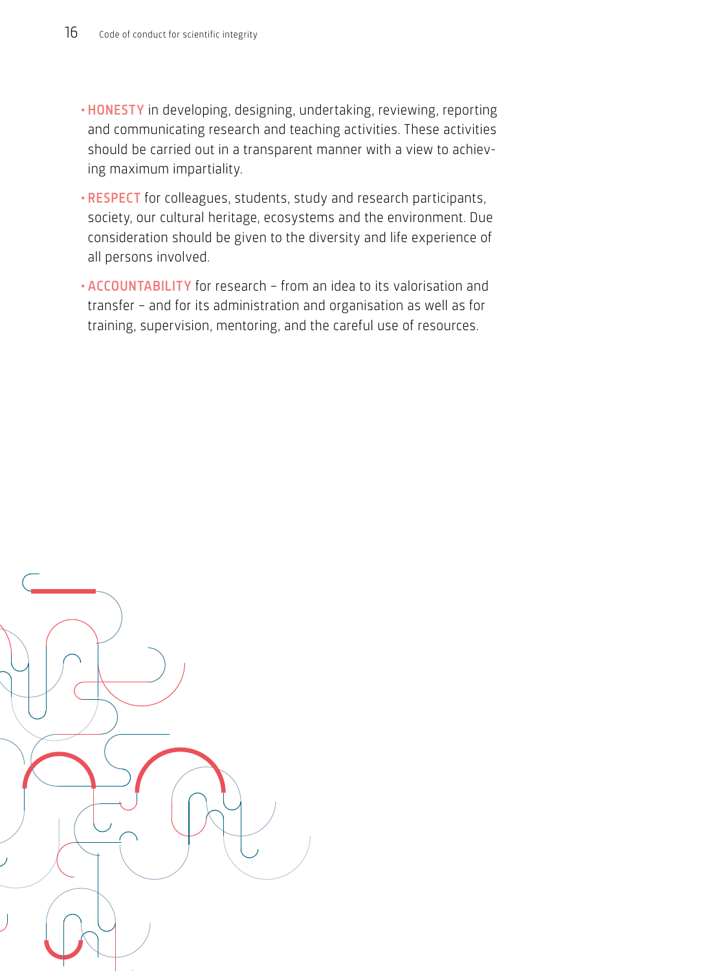- HONESTY in developing, designing, undertaking, reviewing, reporting and communicating research and teaching activities. These activities should be carried out in a transparent manner with a view to achieving maximum impartiality.
- RESPECT for colleagues, students, study and research participants, society, our cultural heritage, ecosystems and the environment. Due consideration should be given to the diversity and life experience of all persons involved.
- ACCOUNTABILITY for research from an idea to its valorisation and transfer – and for its administration and organisation as well as for training, supervision, mentoring, and the careful use of resources.

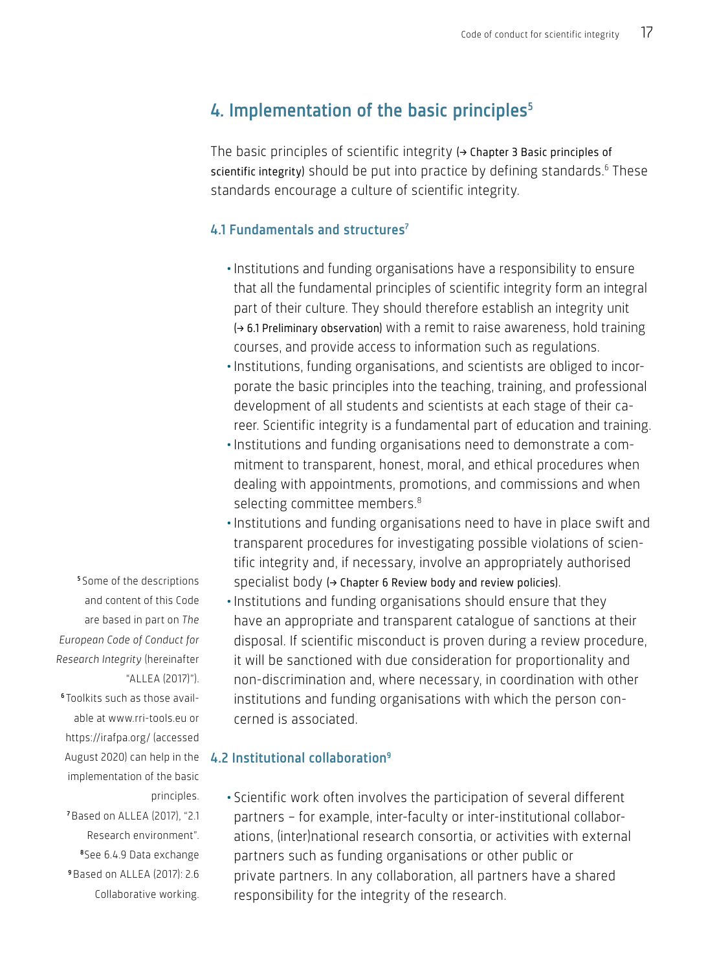# 4. Implementation of the basic principles<sup>5</sup>

The basic principles of scientific integrity (→ Chapter 3 Basic principles of scientific integrity) should be put into practice by defining standards.6 These standards encourage a culture of scientific integrity.

#### 4.1 Fundamentals and structures $^7$

- Institutions and funding organisations have a responsibility to ensure that all the fundamental principles of scientific integrity form an integral part of their culture. They should therefore establish an integrity unit (→ 6.1 Preliminary observation) with a remit to raise awareness, hold training courses, and provide access to information such as regulations.
- Institutions, funding organisations, and scientists are obliged to incorporate the basic principles into the teaching, training, and professional development of all students and scientists at each stage of their career. Scientific integrity is a fundamental part of education and training.
- Institutions and funding organisations need to demonstrate a commitment to transparent, honest, moral, and ethical procedures when dealing with appointments, promotions, and commissions and when selecting committee members.<sup>8</sup>
- Institutions and funding organisations need to have in place swift and transparent procedures for investigating possible violations of scientific integrity and, if necessary, involve an appropriately authorised specialist body (→ Chapter 6 Review body and review policies).
- Institutions and funding organisations should ensure that they have an appropriate and transparent catalogue of sanctions at their disposal. If scientific misconduct is proven during a review procedure, it will be sanctioned with due consideration for proportionality and non-discrimination and, where necessary, in coordination with other institutions and funding organisations with which the person concerned is associated.

#### August 2020) can help in the 4.2 Institutional collaboration<sup>9</sup>

• Scientific work often involves the participation of several different partners – for example, inter-faculty or inter-institutional collaborations, (inter)national research consortia, or activities with external partners such as funding organisations or other public or private partners. In any collaboration, all partners have a shared responsibility for the integrity of the research.

<sup>5</sup>Some of the descriptions and content of this Code are based in part on *The European Code of Conduct for Research Integrity* (hereinafter "ALLEA (2017)").

6 Toolkits such as those available at www.rri-tools.eu or https://irafpa.org/ (accessed implementation of the basic principles.

<sup>7</sup> Based on ALLEA (2017), "2.1 Research environment". <sup>8</sup>See 6.4.9 Data exchange <sup>9</sup>Based on ALLEA (2017): 2.6 Collaborative working.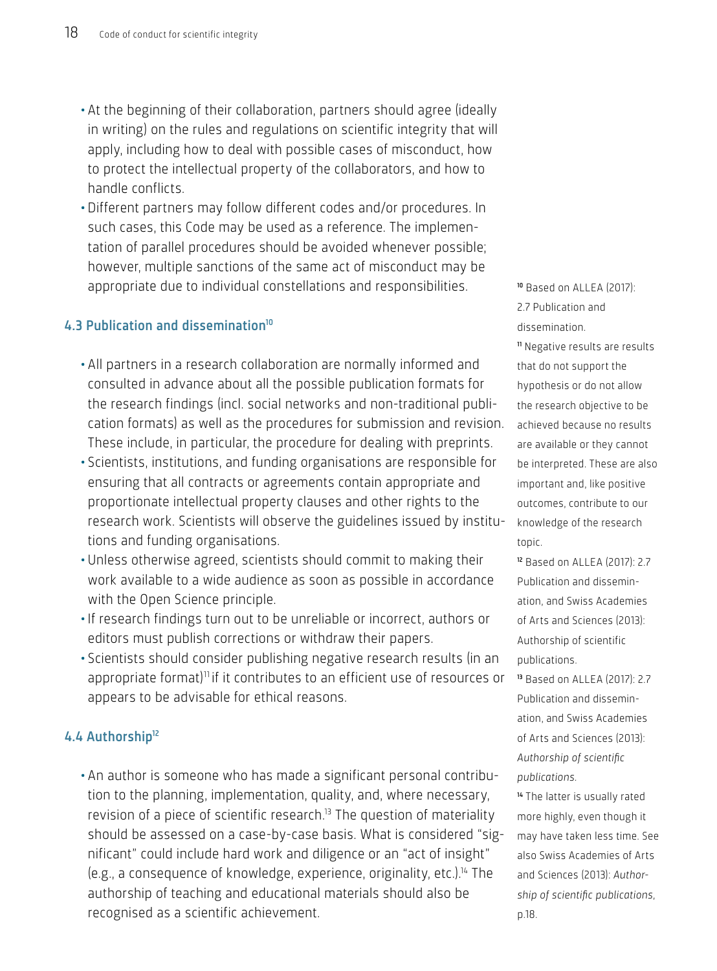- At the beginning of their collaboration, partners should agree (ideally in writing) on the rules and regulations on scientific integrity that will apply, including how to deal with possible cases of misconduct, how to protect the intellectual property of the collaborators, and how to handle conflicts.
- Different partners may follow different codes and/or procedures. In such cases, this Code may be used as a reference. The implementation of parallel procedures should be avoided whenever possible; however, multiple sanctions of the same act of misconduct may be appropriate due to individual constellations and responsibilities.

#### 4.3 Publication and dissemination<sup>10</sup>

- All partners in a research collaboration are normally informed and consulted in advance about all the possible publication formats for the research findings (incl. social networks and non-traditional publication formats) as well as the procedures for submission and revision. These include, in particular, the procedure for dealing with preprints.
- Scientists, institutions, and funding organisations are responsible for ensuring that all contracts or agreements contain appropriate and proportionate intellectual property clauses and other rights to the research work. Scientists will observe the guidelines issued by institutions and funding organisations.
- Unless otherwise agreed, scientists should commit to making their work available to a wide audience as soon as possible in accordance with the Open Science principle.
- If research findings turn out to be unreliable or incorrect, authors or editors must publish corrections or withdraw their papers.
- Scientists should consider publishing negative research results (in an appropriate format)<sup>11</sup> if it contributes to an efficient use of resources or appears to be advisable for ethical reasons.

#### 4.4 Authorship<sup>12</sup>

• An author is someone who has made a significant personal contribution to the planning, implementation, quality, and, where necessary, revision of a piece of scientific research.<sup>13</sup> The question of materiality should be assessed on a case-by-case basis. What is considered "significant" could include hard work and diligence or an "act of insight" (e.g., a consequence of knowledge, experience, originality, etc.).14 The authorship of teaching and educational materials should also be recognised as a scientific achievement.

<sup>10</sup> Based on ALLEA (2017): 2.7 Publication and dissemination. <sup>11</sup> Negative results are results that do not support the hypothesis or do not allow the research objective to be achieved because no results are available or they cannot be interpreted. These are also important and, like positive outcomes, contribute to our knowledge of the research topic.

<sup>12</sup> Based on ALLEA (2017): 2.7 Publication and dissemination, and Swiss Academies of Arts and Sciences (2013): Authorship of scientific publications.

<sup>13</sup> Based on ALLEA (2017): 2.7 Publication and dissemination, and Swiss Academies of Arts and Sciences (2013): *Authorship of scientific publications.*

<sup>14</sup> The latter is usually rated more highly, even though it may have taken less time. See also Swiss Academies of Arts and Sciences (2013): *Authorship of scientific publications,* p.18.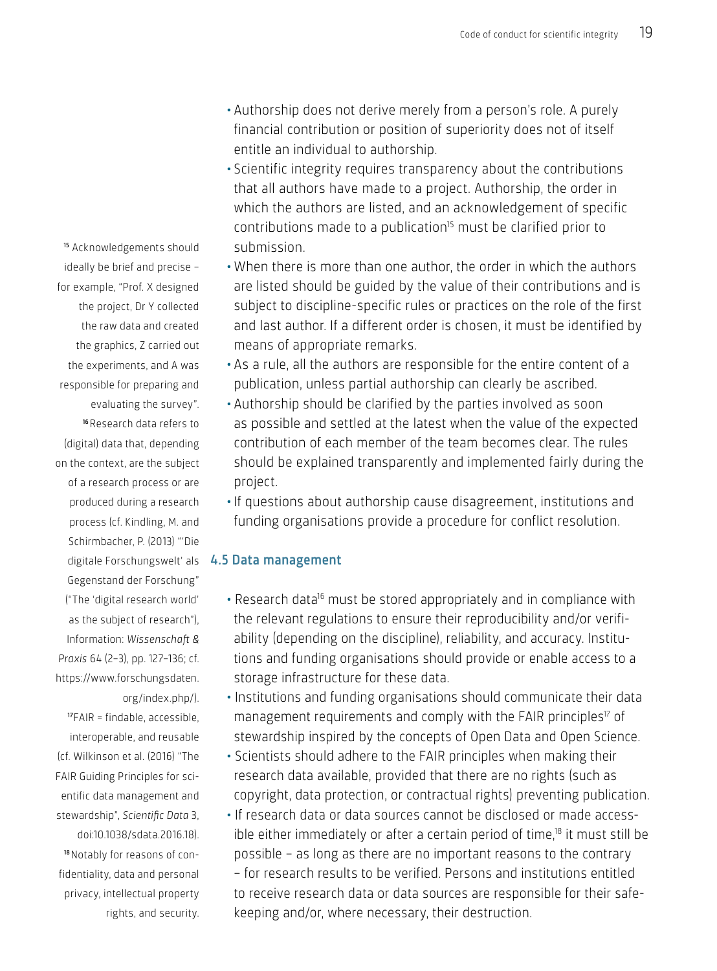- Authorship does not derive merely from a person's role. A purely financial contribution or position of superiority does not of itself entitle an individual to authorship.
- Scientific integrity requires transparency about the contributions that all authors have made to a project. Authorship, the order in which the authors are listed, and an acknowledgement of specific contributions made to a publication<sup>15</sup> must be clarified prior to submission.
- When there is more than one author, the order in which the authors are listed should be guided by the value of their contributions and is subject to discipline-specific rules or practices on the role of the first and last author. If a different order is chosen, it must be identified by means of appropriate remarks.
- As a rule, all the authors are responsible for the entire content of a publication, unless partial authorship can clearly be ascribed.
- Authorship should be clarified by the parties involved as soon as possible and settled at the latest when the value of the expected contribution of each member of the team becomes clear. The rules should be explained transparently and implemented fairly during the project.
- If questions about authorship cause disagreement, institutions and funding organisations provide a procedure for conflict resolution.

- Research data<sup>16</sup> must be stored appropriately and in compliance with the relevant regulations to ensure their reproducibility and/or verifiability (depending on the discipline), reliability, and accuracy. Institutions and funding organisations should provide or enable access to a storage infrastructure for these data.
- Institutions and funding organisations should communicate their data management requirements and comply with the FAIR principles<sup>17</sup> of stewardship inspired by the concepts of Open Data and Open Science.
- Scientists should adhere to the FAIR principles when making their research data available, provided that there are no rights (such as copyright, data protection, or contractual rights) preventing publication.
- If research data or data sources cannot be disclosed or made accessible either immediately or after a certain period of time,<sup>18</sup> it must still be possible – as long as there are no important reasons to the contrary – for research results to be verified. Persons and institutions entitled to receive research data or data sources are responsible for their safekeeping and/or, where necessary, their destruction.

digitale Forschungswelt' als 4.5 Data management ideally be brief and precise – for example, "Prof. X designed the project, Dr Y collected the raw data and created the graphics, Z carried out the experiments, and A was responsible for preparing and evaluating the survey". <sup>16</sup>Research data refers to (digital) data that, depending on the context, are the subject of a research process or are produced during a research process (cf. Kindling, M. and Schirmbacher, P. (2013) "'Die Gegenstand der Forschung" ("The 'digital research world' as the subject of research"), Information: *Wissenschaft & Praxis* 64 (2–3), pp. 127–136; cf. https://www.forschungsdaten. org/index.php/).

15 Acknowledgements should

 <sup>17</sup>FAIR = findable, accessible, interoperable, and reusable (cf. Wilkinson et al. (2016) "The FAIR Guiding Principles for scientific data management and stewardship", *Scientific Data* 3, doi:10.1038/sdata.2016.18). 18Notably for reasons of confidentiality, data and personal privacy, intellectual property rights, and security.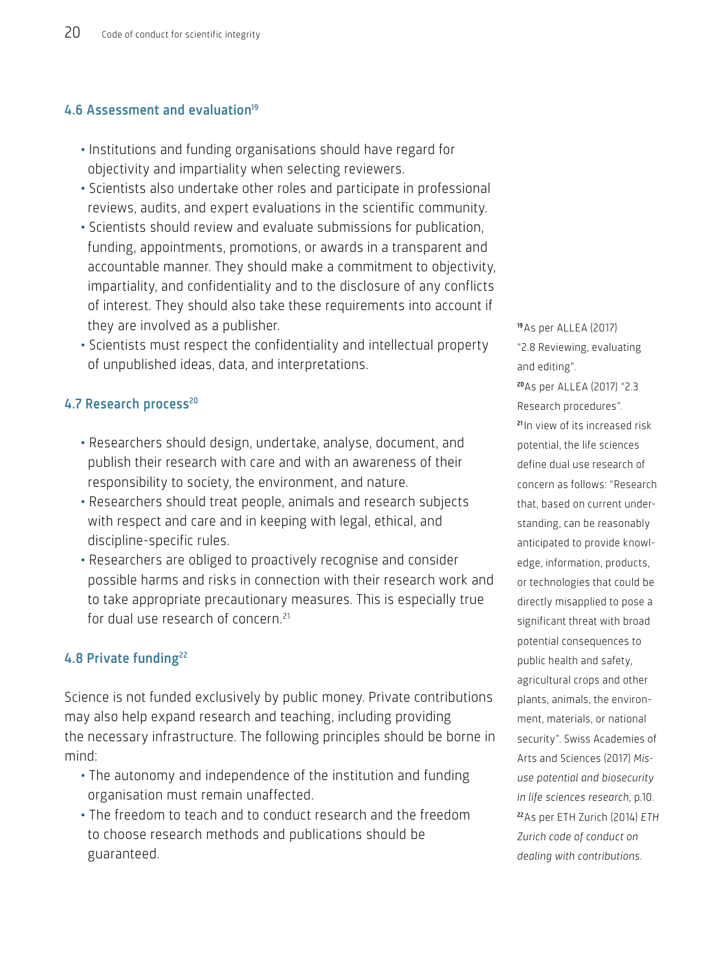#### 4.6 Assessment and evaluation19

- Institutions and funding organisations should have regard for objectivity and impartiality when selecting reviewers.
- Scientists also undertake other roles and participate in professional reviews, audits, and expert evaluations in the scientific community.
- Scientists should review and evaluate submissions for publication, funding, appointments, promotions, or awards in a transparent and accountable manner. They should make a commitment to objectivity, impartiality, and confidentiality and to the disclosure of any conflicts of interest. They should also take these requirements into account if they are involved as a publisher.
- Scientists must respect the confidentiality and intellectual property of unpublished ideas, data, and interpretations.

#### 4.7 Research process<sup>20</sup>

- Researchers should design, undertake, analyse, document, and publish their research with care and with an awareness of their responsibility to society, the environment, and nature.
- Researchers should treat people, animals and research subjects with respect and care and in keeping with legal, ethical, and discipline-specific rules.
- Researchers are obliged to proactively recognise and consider possible harms and risks in connection with their research work and to take appropriate precautionary measures. This is especially true for dual use research of concern.<sup>21</sup>

#### 4.8 Private funding<sup>22</sup>

Science is not funded exclusively by public money. Private contributions may also help expand research and teaching, including providing the necessary infrastructure. The following principles should be borne in mind:

- The autonomy and independence of the institution and funding organisation must remain unaffected.
- The freedom to teach and to conduct research and the freedom to choose research methods and publications should be guaranteed.

<sup>19</sup>As per ALLEA (2017) "2.8 Reviewing, evaluating and editing". <sup>20</sup>As per ALLEA (2017) "2.3 Research procedures". <sup>21</sup> In view of its increased risk potential, the life sciences define dual use research of concern as follows: "Research that, based on current understanding, can be reasonably anticipated to provide knowledge, information, products, or technologies that could be directly misapplied to pose a significant threat with broad potential consequences to public health and safety, agricultural crops and other plants, animals, the environment, materials, or national security". Swiss Academies of Arts and Sciences (2017) *Misuse potential and biosecurity in life sciences research*, p.10. <sup>22</sup>As per ETH Zurich (2014) *ETH Zurich code of conduct on dealing with contributions.*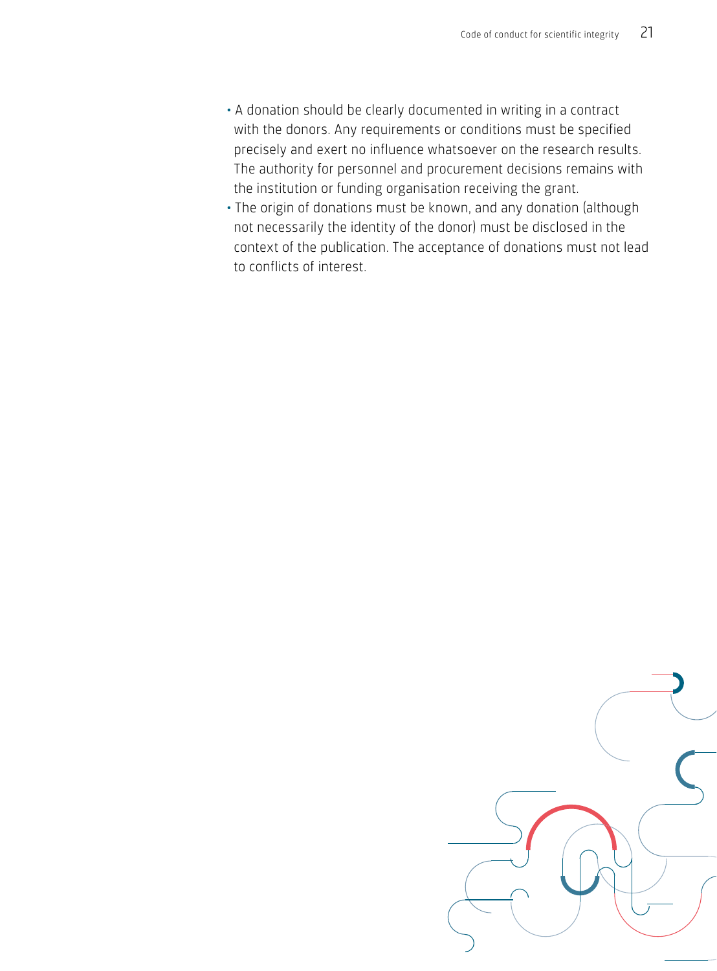- A donation should be clearly documented in writing in a contract with the donors. Any requirements or conditions must be specified precisely and exert no influence whatsoever on the research results. The authority for personnel and procurement decisions remains with the institution or funding organisation receiving the grant.
- The origin of donations must be known, and any donation (although not necessarily the identity of the donor) must be disclosed in the context of the publication. The acceptance of donations must not lead to conflicts of interest.

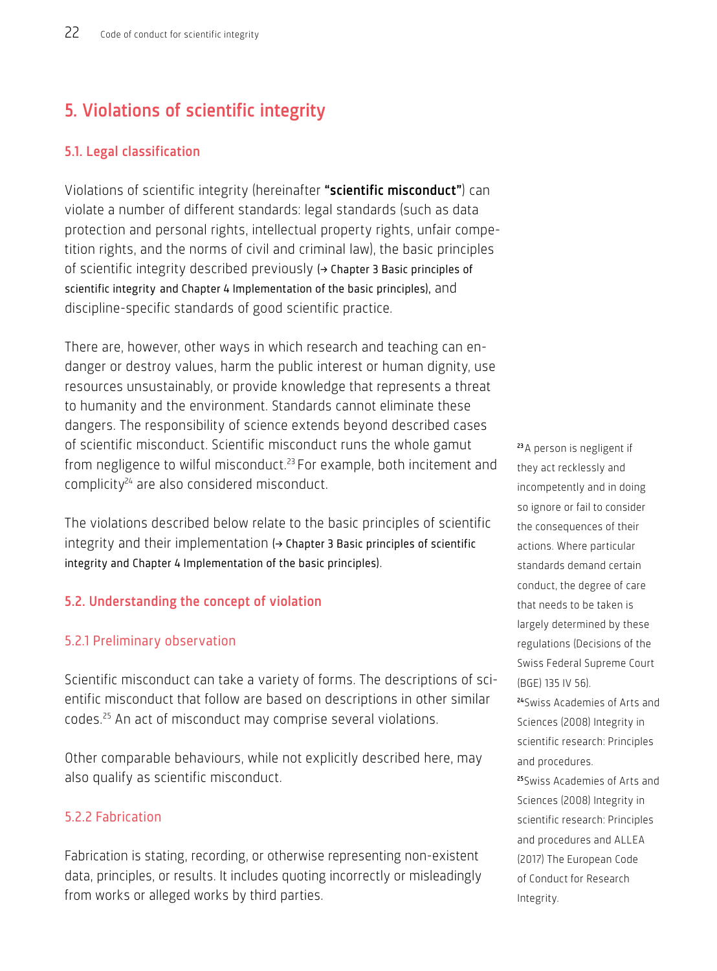# 5. Violations of scientific integrity

#### 5.1. Legal classification

Violations of scientific integrity (hereinafter "scientific misconduct") can violate a number of different standards: legal standards (such as data protection and personal rights, intellectual property rights, unfair competition rights, and the norms of civil and criminal law), the basic principles of scientific integrity described previously (→ Chapter 3 Basic principles of scientific integrity and Chapter 4 Implementation of the basic principles), and discipline-specific standards of good scientific practice.

There are, however, other ways in which research and teaching can endanger or destroy values, harm the public interest or human dignity, use resources unsustainably, or provide knowledge that represents a threat to humanity and the environment. Standards cannot eliminate these dangers. The responsibility of science extends beyond described cases of scientific misconduct. Scientific misconduct runs the whole gamut from negligence to wilful misconduct.<sup>23</sup> For example, both incitement and complicity24 are also considered misconduct.

The violations described below relate to the basic principles of scientific integrity and their implementation (→ Chapter 3 Basic principles of scientific integrity and Chapter 4 Implementation of the basic principles).

#### 5.2. Understanding the concept of violation

#### 5.2.1 Preliminary observation

Scientific misconduct can take a variety of forms. The descriptions of scientific misconduct that follow are based on descriptions in other similar codes.25 An act of misconduct may comprise several violations.

Other comparable behaviours, while not explicitly described here, may also qualify as scientific misconduct.

#### 5.2.2 Fabrication

Fabrication is stating, recording, or otherwise representing non-existent data, principles, or results. It includes quoting incorrectly or misleadingly from works or alleged works by third parties.

<sup>23</sup>A person is negligent if they act recklessly and incompetently and in doing so ignore or fail to consider the consequences of their actions. Where particular standards demand certain conduct, the degree of care that needs to be taken is largely determined by these regulations (Decisions of the Swiss Federal Supreme Court (BGE) 135 IV 56). <sup>24</sup>Swiss Academies of Arts and Sciences (2008) Integrity in scientific research: Principles and procedures. <sup>25</sup>Swiss Academies of Arts and Sciences (2008) Integrity in scientific research: Principles and procedures and ALLEA (2017) The European Code of Conduct for Research Integrity.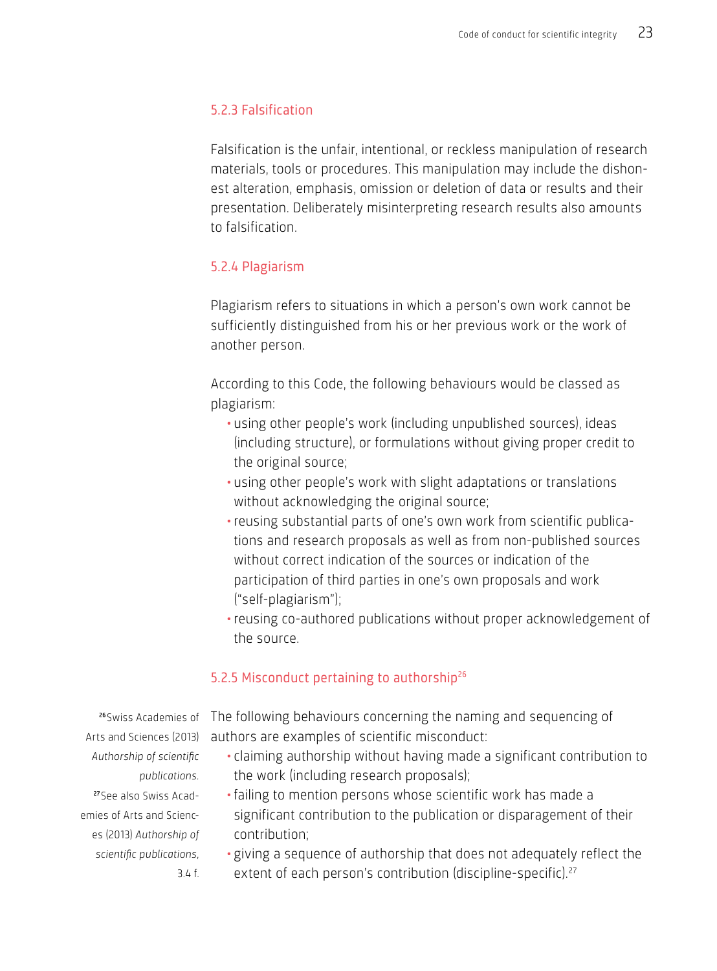### 5.2.3 Falsification

Falsification is the unfair, intentional, or reckless manipulation of research materials, tools or procedures. This manipulation may include the dishonest alteration, emphasis, omission or deletion of data or results and their presentation. Deliberately misinterpreting research results also amounts to falsification.

#### 5.2.4 Plagiarism

Plagiarism refers to situations in which a person's own work cannot be sufficiently distinguished from his or her previous work or the work of another person.

According to this Code, the following behaviours would be classed as plagiarism:

- using other people's work (including unpublished sources), ideas (including structure), or formulations without giving proper credit to the original source;
- using other people's work with slight adaptations or translations without acknowledging the original source;
- reusing substantial parts of one's own work from scientific publications and research proposals as well as from non-published sources without correct indication of the sources or indication of the participation of third parties in one's own proposals and work ("self-plagiarism");
- reusing co-authored publications without proper acknowledgement of the source.

#### 5.2.5 Misconduct pertaining to authorship<sup>26</sup>

<sup>26</sup>Swiss Academies of The following behaviours concerning the naming and sequencing of Arts and Sciences (2013) authors are examples of scientific misconduct:

- claiming authorship without having made a significant contribution to the work (including research proposals);
- failing to mention persons whose scientific work has made a significant contribution to the publication or disparagement of their contribution;
- giving a sequence of authorship that does not adequately reflect the extent of each person's contribution (discipline-specific).<sup>27</sup>

*Authorship of scientific publications.* 27See also Swiss Academies of Arts and Sciences (2013) *Authorship of scientific publications,*  3.4 f.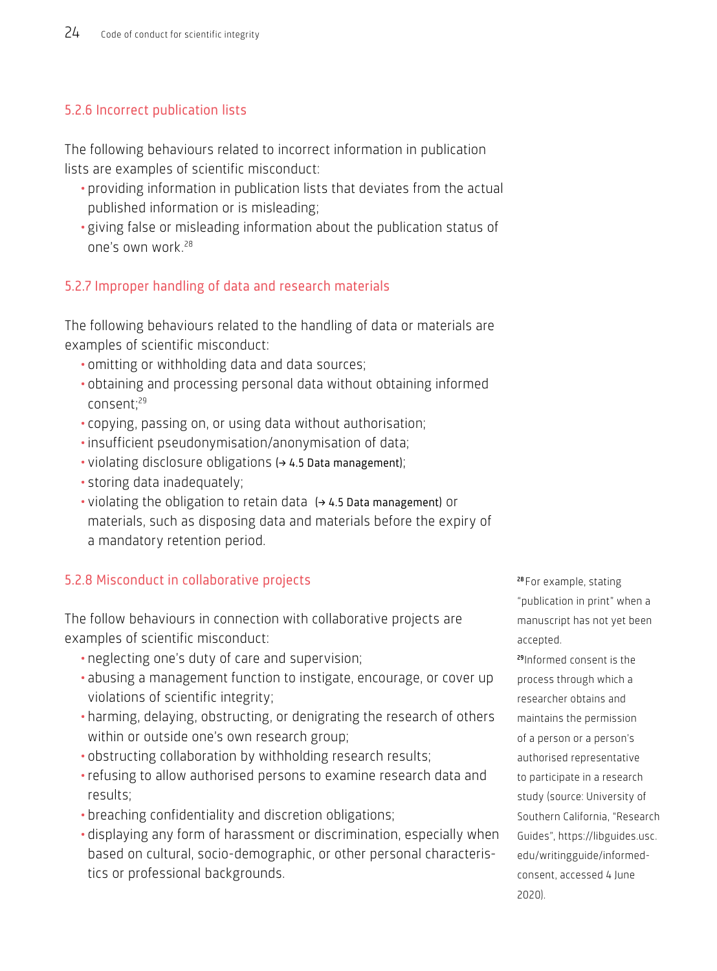#### 5.2.6 Incorrect publication lists

The following behaviours related to incorrect information in publication lists are examples of scientific misconduct:

- providing information in publication lists that deviates from the actual published information or is misleading;
- giving false or misleading information about the publication status of one's own work.28

#### 5.2.7 Improper handling of data and research materials

The following behaviours related to the handling of data or materials are examples of scientific misconduct:

- omitting or withholding data and data sources;
- obtaining and processing personal data without obtaining informed consent;29
- copying, passing on, or using data without authorisation;
- insufficient pseudonymisation/anonymisation of data;
- violating disclosure obligations (→ 4.5 Data management);
- storing data inadequately;
- violating the obligation to retain data (→ 4.5 Data management) or materials, such as disposing data and materials before the expiry of a mandatory retention period.

#### 5.2.8 Misconduct in collaborative projects

The follow behaviours in connection with collaborative projects are examples of scientific misconduct:

- neglecting one's duty of care and supervision;
- abusing a management function to instigate, encourage, or cover up violations of scientific integrity;
- harming, delaying, obstructing, or denigrating the research of others within or outside one's own research group;
- obstructing collaboration by withholding research results;
- refusing to allow authorised persons to examine research data and results;
- breaching confidentiality and discretion obligations;
- displaying any form of harassment or discrimination, especially when based on cultural, socio-demographic, or other personal characteristics or professional backgrounds.

<sup>28</sup> For example, stating "publication in print" when a manuscript has not yet been accepted.

<sup>29</sup>Informed consent is the process through which a researcher obtains and maintains the permission of a person or a person's authorised representative to participate in a research study (source: University of Southern California, "Research Guides", https://libguides.usc. edu/writingguide/informedconsent, accessed 4 June 2020).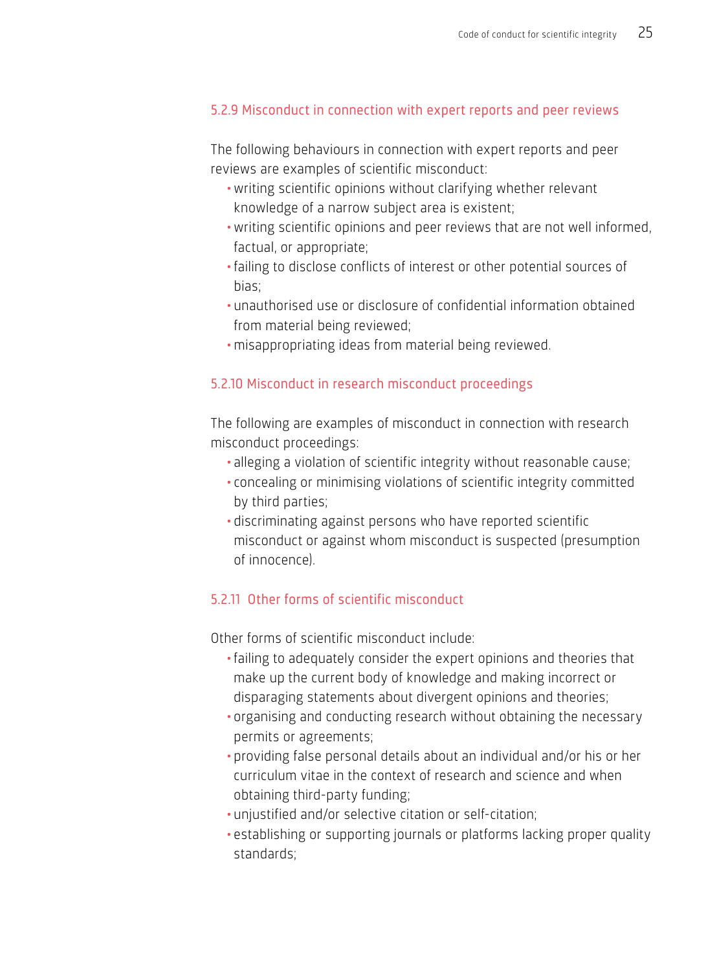#### 5.2.9 Misconduct in connection with expert reports and peer reviews

The following behaviours in connection with expert reports and peer reviews are examples of scientific misconduct:

- writing scientific opinions without clarifying whether relevant knowledge of a narrow subject area is existent;
- writing scientific opinions and peer reviews that are not well informed, factual, or appropriate;
- failing to disclose conflicts of interest or other potential sources of bias;
- unauthorised use or disclosure of confidential information obtained from material being reviewed;
- misappropriating ideas from material being reviewed.

#### 5.2.10 Misconduct in research misconduct proceedings

The following are examples of misconduct in connection with research misconduct proceedings:

- alleging a violation of scientific integrity without reasonable cause;
- concealing or minimising violations of scientific integrity committed by third parties;
- discriminating against persons who have reported scientific misconduct or against whom misconduct is suspected (presumption of innocence).

#### 5.2.11 Other forms of scientific misconduct

Other forms of scientific misconduct include:

- failing to adequately consider the expert opinions and theories that make up the current body of knowledge and making incorrect or disparaging statements about divergent opinions and theories;
- organising and conducting research without obtaining the necessary permits or agreements;
- providing false personal details about an individual and/or his or her curriculum vitae in the context of research and science and when obtaining third-party funding;
- unjustified and/or selective citation or self-citation;
- establishing or supporting journals or platforms lacking proper quality standards;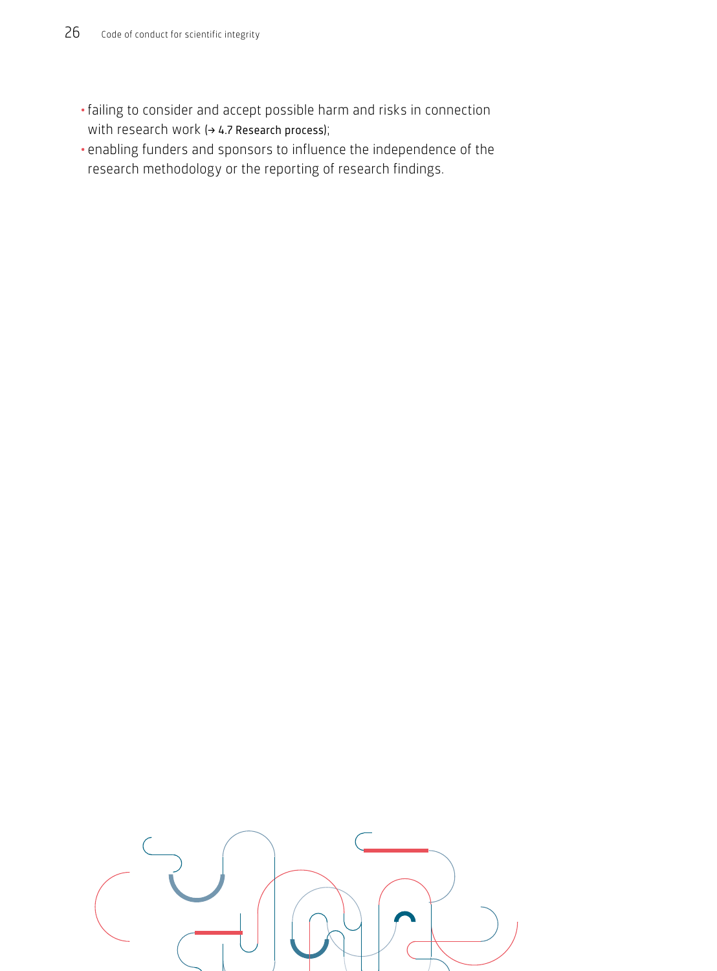- failing to consider and accept possible harm and risks in connection with research work (→ 4.7 Research process);
- enabling funders and sponsors to influence the independence of the research methodology or the reporting of research findings.

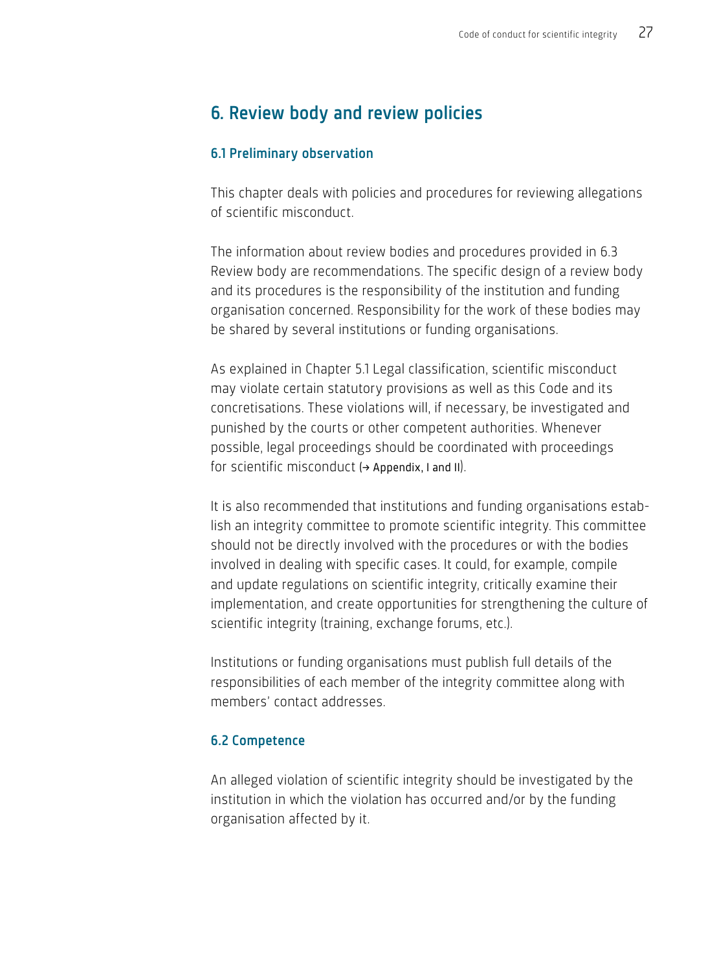# 6. Review body and review policies

#### 6.1 Preliminary observation

This chapter deals with policies and procedures for reviewing allegations of scientific misconduct.

The information about review bodies and procedures provided in 6.3 Review body are recommendations. The specific design of a review body and its procedures is the responsibility of the institution and funding organisation concerned. Responsibility for the work of these bodies may be shared by several institutions or funding organisations.

As explained in Chapter 5.1 Legal classification, scientific misconduct may violate certain statutory provisions as well as this Code and its concretisations. These violations will, if necessary, be investigated and punished by the courts or other competent authorities. Whenever possible, legal proceedings should be coordinated with proceedings for scientific misconduct (→ Appendix, I and II).

It is also recommended that institutions and funding organisations establish an integrity committee to promote scientific integrity. This committee should not be directly involved with the procedures or with the bodies involved in dealing with specific cases. It could, for example, compile and update regulations on scientific integrity, critically examine their implementation, and create opportunities for strengthening the culture of scientific integrity (training, exchange forums, etc.).

Institutions or funding organisations must publish full details of the responsibilities of each member of the integrity committee along with members' contact addresses.

#### 6.2 Competence

An alleged violation of scientific integrity should be investigated by the institution in which the violation has occurred and/or by the funding organisation affected by it.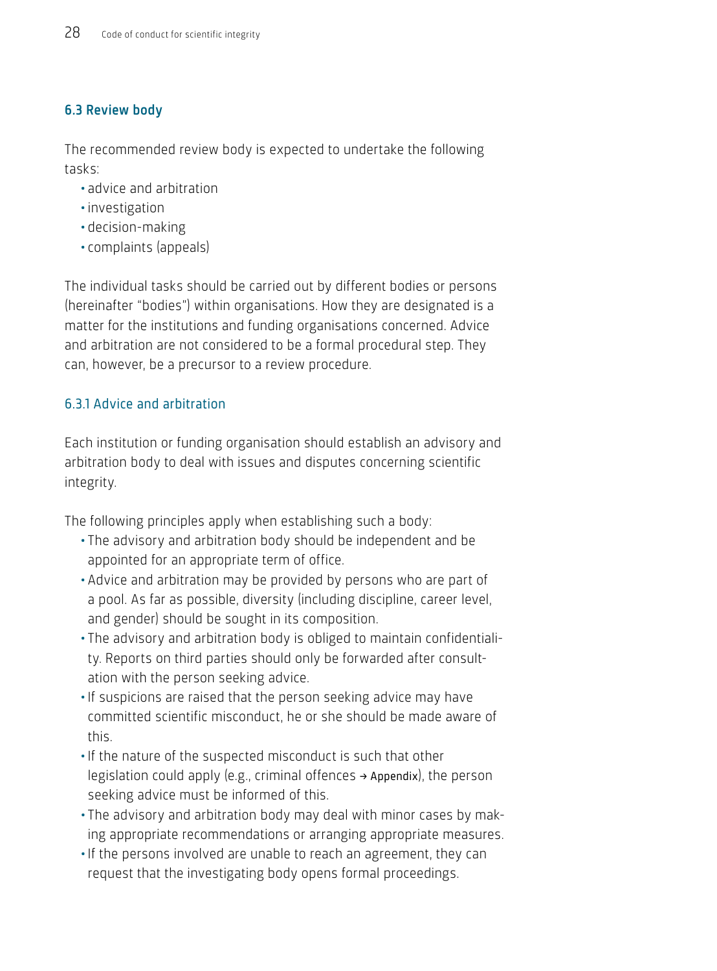#### 6.3 Review body

The recommended review body is expected to undertake the following tasks:

- advice and arbitration
- investigation
- decision-making
- complaints (appeals)

The individual tasks should be carried out by different bodies or persons (hereinafter "bodies") within organisations. How they are designated is a matter for the institutions and funding organisations concerned. Advice and arbitration are not considered to be a formal procedural step. They can, however, be a precursor to a review procedure.

#### 6.3.1 Advice and arbitration

Each institution or funding organisation should establish an advisory and arbitration body to deal with issues and disputes concerning scientific integrity.

The following principles apply when establishing such a body:

- The advisory and arbitration body should be independent and be appointed for an appropriate term of office.
- Advice and arbitration may be provided by persons who are part of a pool. As far as possible, diversity (including discipline, career level, and gender) should be sought in its composition.
- The advisory and arbitration body is obliged to maintain confidentiality. Reports on third parties should only be forwarded after consultation with the person seeking advice.
- If suspicions are raised that the person seeking advice may have committed scientific misconduct, he or she should be made aware of this.
- If the nature of the suspected misconduct is such that other legislation could apply (e.g., criminal offences → Appendix), the person seeking advice must be informed of this.
- The advisory and arbitration body may deal with minor cases by making appropriate recommendations or arranging appropriate measures.
- If the persons involved are unable to reach an agreement, they can request that the investigating body opens formal proceedings.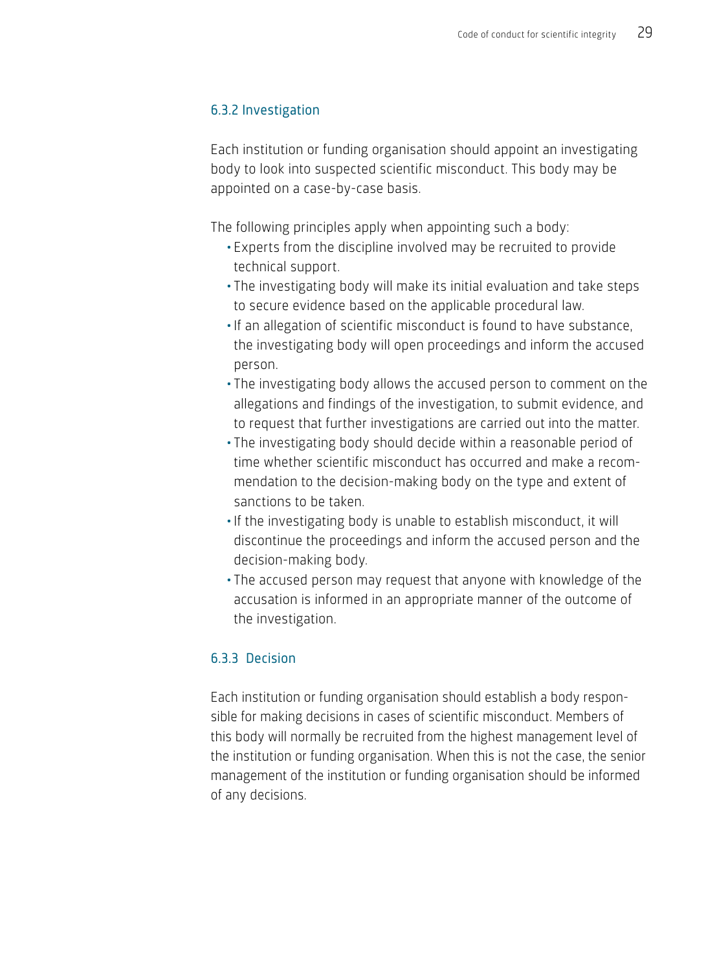#### 6.3.2 Investigation

Each institution or funding organisation should appoint an investigating body to look into suspected scientific misconduct. This body may be appointed on a case-by-case basis.

The following principles apply when appointing such a body:

- Experts from the discipline involved may be recruited to provide technical support.
- The investigating body will make its initial evaluation and take steps to secure evidence based on the applicable procedural law.
- If an allegation of scientific misconduct is found to have substance, the investigating body will open proceedings and inform the accused person.
- The investigating body allows the accused person to comment on the allegations and findings of the investigation, to submit evidence, and to request that further investigations are carried out into the matter.
- The investigating body should decide within a reasonable period of time whether scientific misconduct has occurred and make a recommendation to the decision-making body on the type and extent of sanctions to be taken.
- If the investigating body is unable to establish misconduct, it will discontinue the proceedings and inform the accused person and the decision-making body.
- The accused person may request that anyone with knowledge of the accusation is informed in an appropriate manner of the outcome of the investigation.

#### 6.3.3 Decision

Each institution or funding organisation should establish a body responsible for making decisions in cases of scientific misconduct. Members of this body will normally be recruited from the highest management level of the institution or funding organisation. When this is not the case, the senior management of the institution or funding organisation should be informed of any decisions.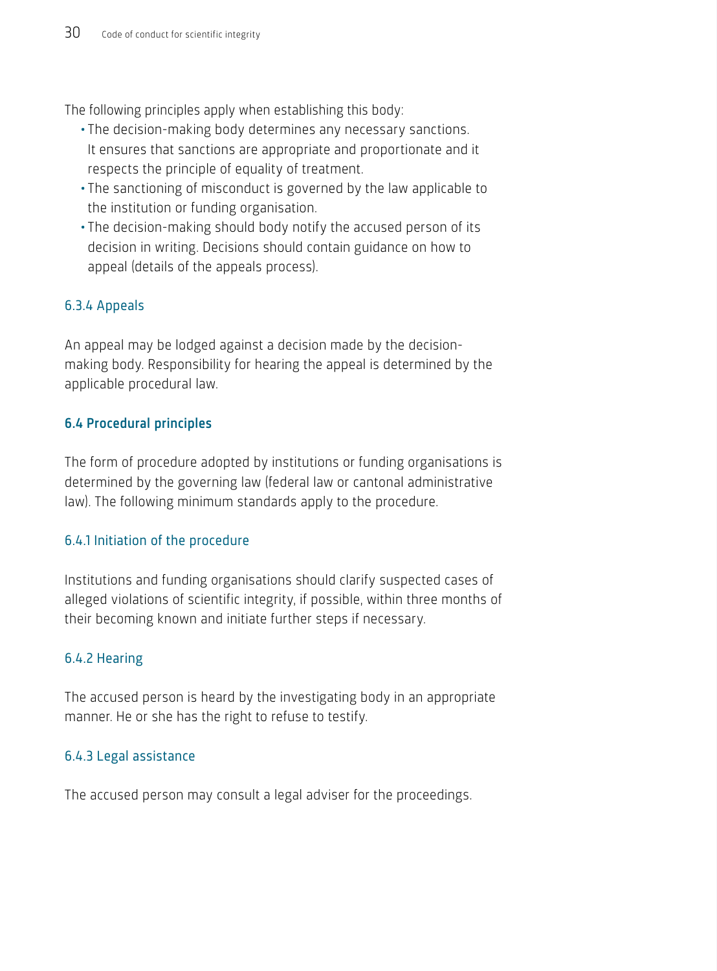The following principles apply when establishing this body:

- The decision-making body determines any necessary sanctions. It ensures that sanctions are appropriate and proportionate and it respects the principle of equality of treatment.
- The sanctioning of misconduct is governed by the law applicable to the institution or funding organisation.
- The decision-making should body notify the accused person of its decision in writing. Decisions should contain guidance on how to appeal (details of the appeals process).

#### 6.3.4 Appeals

An appeal may be lodged against a decision made by the decisionmaking body. Responsibility for hearing the appeal is determined by the applicable procedural law.

#### 6.4 Procedural principles

The form of procedure adopted by institutions or funding organisations is determined by the governing law (federal law or cantonal administrative law). The following minimum standards apply to the procedure.

#### 6.4.1 Initiation of the procedure

Institutions and funding organisations should clarify suspected cases of alleged violations of scientific integrity, if possible, within three months of their becoming known and initiate further steps if necessary.

#### 6.4.2 Hearing

The accused person is heard by the investigating body in an appropriate manner. He or she has the right to refuse to testify.

#### 6.4.3 Legal assistance

The accused person may consult a legal adviser for the proceedings.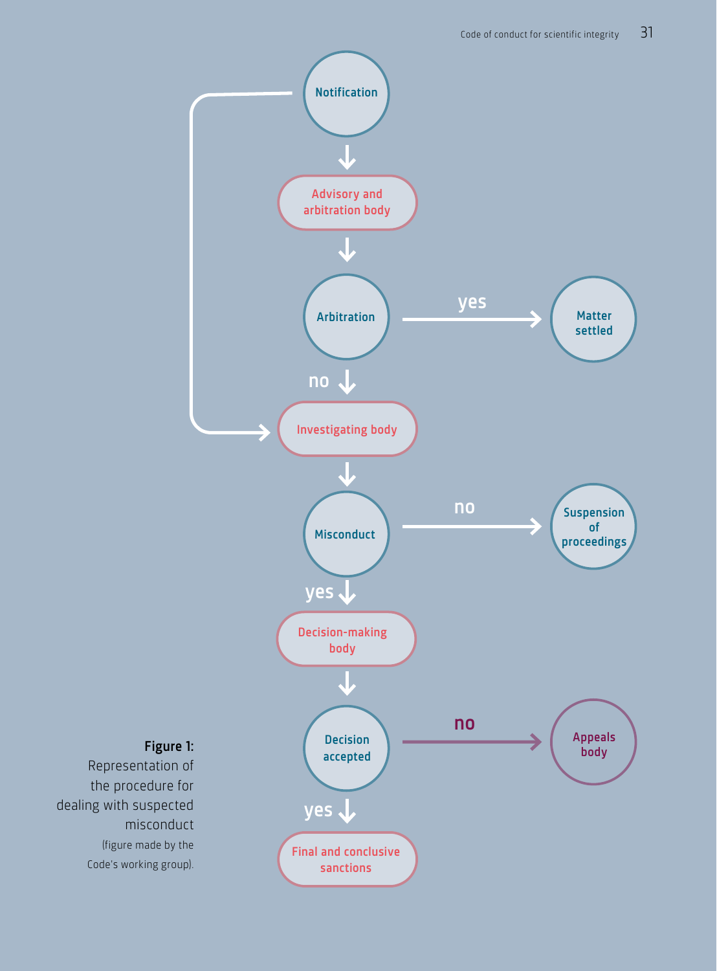

Representation of the procedure for dealing with suspected misconduct (figure made by the Code's working group).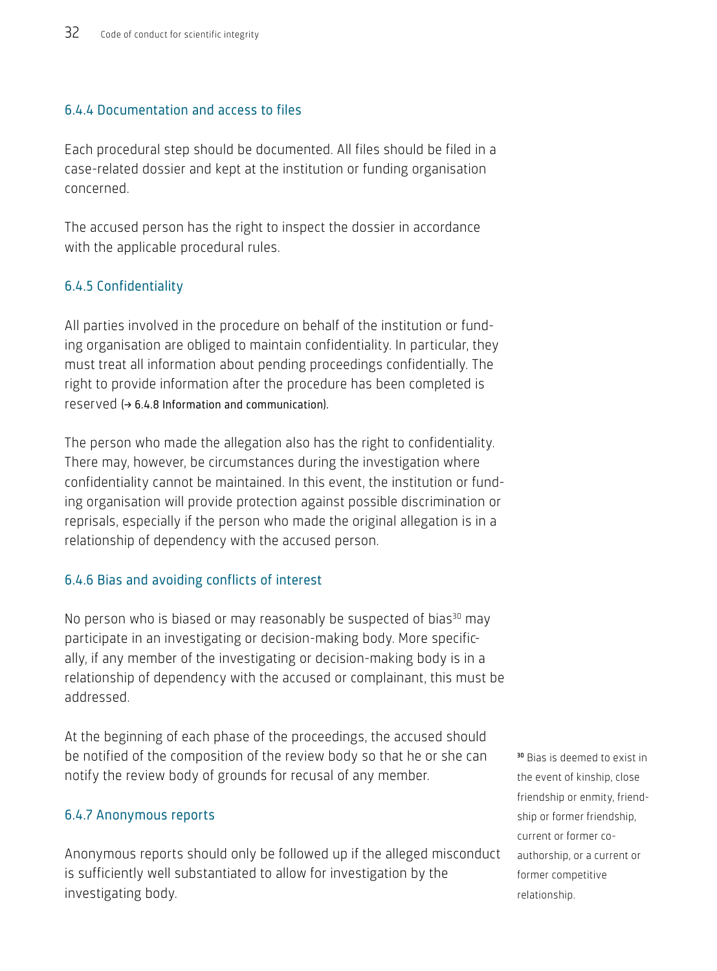#### 6.4.4 Documentation and access to files

Each procedural step should be documented. All files should be filed in a case-related dossier and kept at the institution or funding organisation concerned.

The accused person has the right to inspect the dossier in accordance with the applicable procedural rules.

#### 6.4.5 Confidentiality

All parties involved in the procedure on behalf of the institution or funding organisation are obliged to maintain confidentiality. In particular, they must treat all information about pending proceedings confidentially. The right to provide information after the procedure has been completed is reserved (→ 6.4.8 Information and communication).

The person who made the allegation also has the right to confidentiality. There may, however, be circumstances during the investigation where confidentiality cannot be maintained. In this event, the institution or funding organisation will provide protection against possible discrimination or reprisals, especially if the person who made the original allegation is in a relationship of dependency with the accused person.

#### 6.4.6 Bias and avoiding conflicts of interest

No person who is biased or may reasonably be suspected of bias<sup>30</sup> may participate in an investigating or decision-making body. More specifically, if any member of the investigating or decision-making body is in a relationship of dependency with the accused or complainant, this must be addressed.

At the beginning of each phase of the proceedings, the accused should be notified of the composition of the review body so that he or she can notify the review body of grounds for recusal of any member.

#### 6.4.7 Anonymous reports

Anonymous reports should only be followed up if the alleged misconduct is sufficiently well substantiated to allow for investigation by the investigating body.

<sup>30</sup> Bias is deemed to exist in the event of kinship, close friendship or enmity, friendship or former friendship, current or former coauthorship, or a current or former competitive relationship.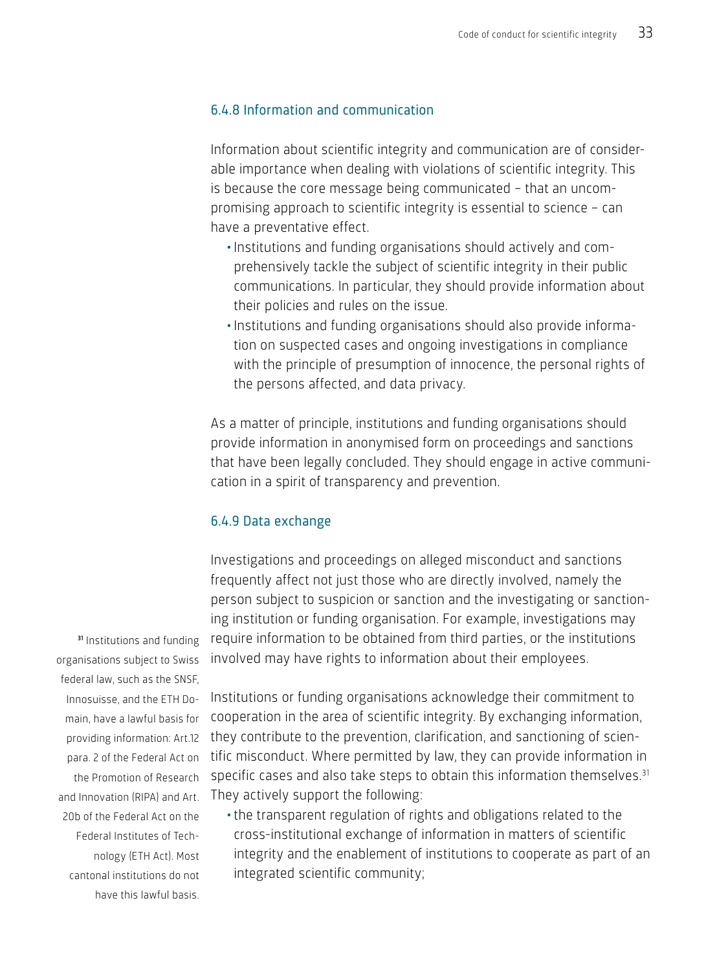#### 6.4.8 Information and communication

Information about scientific integrity and communication are of considerable importance when dealing with violations of scientific integrity. This is because the core message being communicated – that an uncompromising approach to scientific integrity is essential to science – can have a preventative effect.

- Institutions and funding organisations should actively and comprehensively tackle the subject of scientific integrity in their public communications. In particular, they should provide information about their policies and rules on the issue.
- Institutions and funding organisations should also provide information on suspected cases and ongoing investigations in compliance with the principle of presumption of innocence, the personal rights of the persons affected, and data privacy.

As a matter of principle, institutions and funding organisations should provide information in anonymised form on proceedings and sanctions that have been legally concluded. They should engage in active communication in a spirit of transparency and prevention.

#### 6.4.9 Data exchange

Investigations and proceedings on alleged misconduct and sanctions frequently affect not just those who are directly involved, namely the person subject to suspicion or sanction and the investigating or sanctioning institution or funding organisation. For example, investigations may require information to be obtained from third parties, or the institutions involved may have rights to information about their employees.

Institutions or funding organisations acknowledge their commitment to cooperation in the area of scientific integrity. By exchanging information, they contribute to the prevention, clarification, and sanctioning of scientific misconduct. Where permitted by law, they can provide information in specific cases and also take steps to obtain this information themselves.<sup>31</sup> They actively support the following:

• the transparent regulation of rights and obligations related to the cross-institutional exchange of information in matters of scientific integrity and the enablement of institutions to cooperate as part of an integrated scientific community;

<sup>31</sup> Institutions and funding organisations subject to Swiss federal law, such as the SNSF, Innosuisse, and the ETH Domain, have a lawful basis for providing information: Art.12 para. 2 of the Federal Act on the Promotion of Research and Innovation (RIPA) and Art. 20b of the Federal Act on the Federal Institutes of Technology (ETH Act). Most cantonal institutions do not have this lawful basis.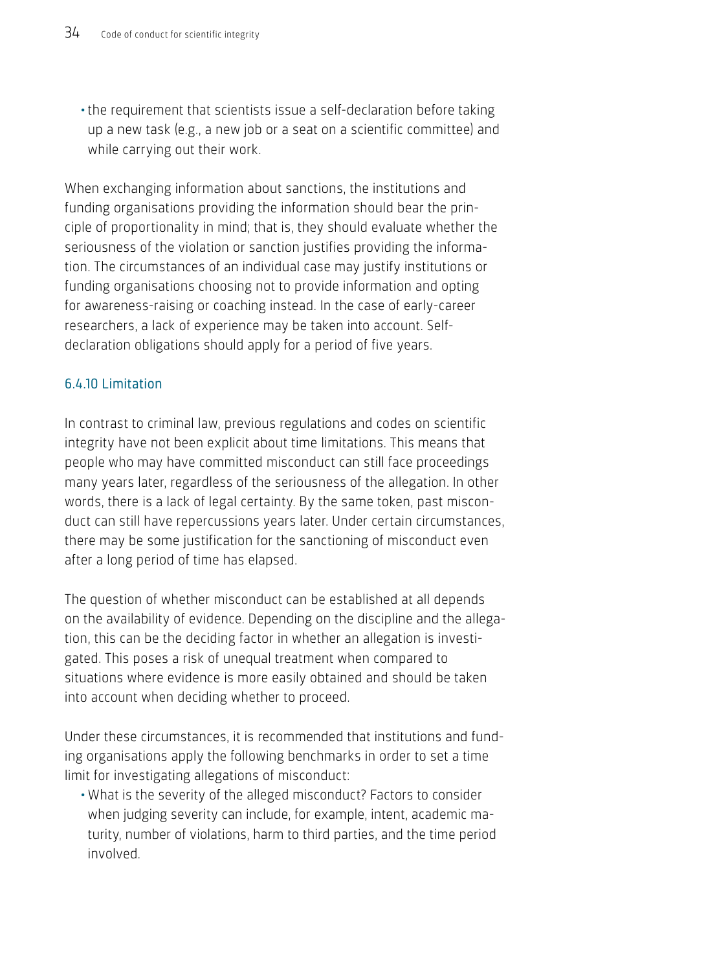• the requirement that scientists issue a self-declaration before taking up a new task (e.g., a new job or a seat on a scientific committee) and while carrying out their work.

When exchanging information about sanctions, the institutions and funding organisations providing the information should bear the principle of proportionality in mind; that is, they should evaluate whether the seriousness of the violation or sanction justifies providing the information. The circumstances of an individual case may justify institutions or funding organisations choosing not to provide information and opting for awareness-raising or coaching instead. In the case of early-career researchers, a lack of experience may be taken into account. Selfdeclaration obligations should apply for a period of five years.

#### 6.4.10 Limitation

In contrast to criminal law, previous regulations and codes on scientific integrity have not been explicit about time limitations. This means that people who may have committed misconduct can still face proceedings many years later, regardless of the seriousness of the allegation. In other words, there is a lack of legal certainty. By the same token, past misconduct can still have repercussions years later. Under certain circumstances, there may be some justification for the sanctioning of misconduct even after a long period of time has elapsed.

The question of whether misconduct can be established at all depends on the availability of evidence. Depending on the discipline and the allegation, this can be the deciding factor in whether an allegation is investigated. This poses a risk of unequal treatment when compared to situations where evidence is more easily obtained and should be taken into account when deciding whether to proceed.

Under these circumstances, it is recommended that institutions and funding organisations apply the following benchmarks in order to set a time limit for investigating allegations of misconduct:

• What is the severity of the alleged misconduct? Factors to consider when judging severity can include, for example, intent, academic maturity, number of violations, harm to third parties, and the time period involved.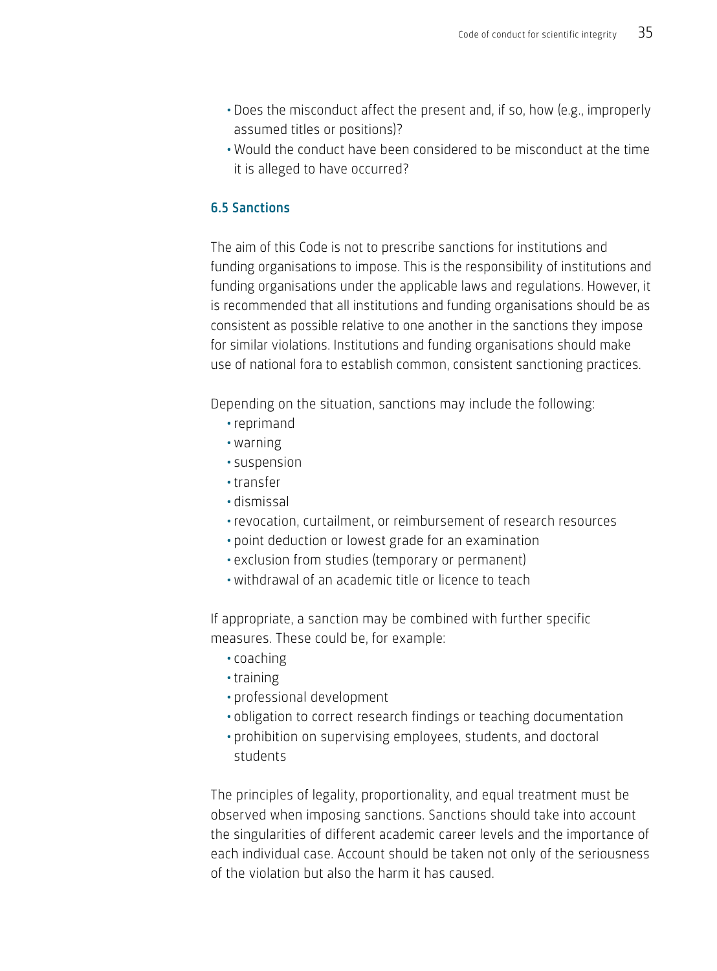- Does the misconduct affect the present and, if so, how (e.g., improperly assumed titles or positions)?
- Would the conduct have been considered to be misconduct at the time it is alleged to have occurred?

#### 6.5 Sanctions

The aim of this Code is not to prescribe sanctions for institutions and funding organisations to impose. This is the responsibility of institutions and funding organisations under the applicable laws and regulations. However, it is recommended that all institutions and funding organisations should be as consistent as possible relative to one another in the sanctions they impose for similar violations. Institutions and funding organisations should make use of national fora to establish common, consistent sanctioning practices.

Depending on the situation, sanctions may include the following:

- reprimand
- warning
- suspension
- transfer
- dismissal
- revocation, curtailment, or reimbursement of research resources
- point deduction or lowest grade for an examination
- exclusion from studies (temporary or permanent)
- withdrawal of an academic title or licence to teach

If appropriate, a sanction may be combined with further specific measures. These could be, for example:

- coaching
- training
- professional development
- obligation to correct research findings or teaching documentation
- prohibition on supervising employees, students, and doctoral students

The principles of legality, proportionality, and equal treatment must be observed when imposing sanctions. Sanctions should take into account the singularities of different academic career levels and the importance of each individual case. Account should be taken not only of the seriousness of the violation but also the harm it has caused.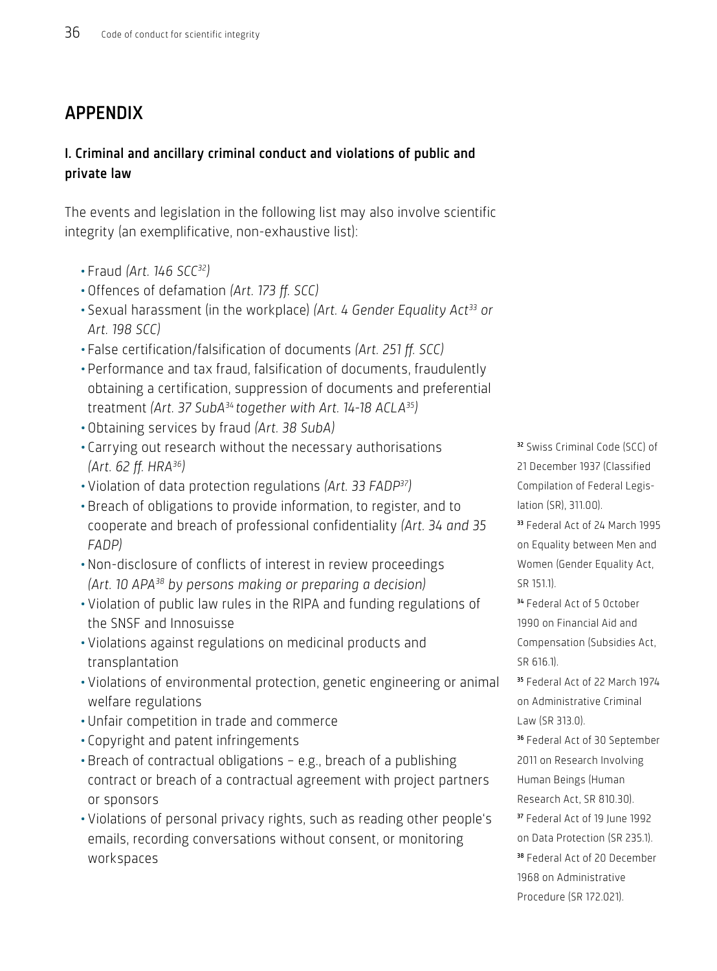# APPENDIX

### I. Criminal and ancillary criminal conduct and violations of public and private law

The events and legislation in the following list may also involve scientific integrity (an exemplificative, non-exhaustive list):

- Fraud *(Art. 146 SCC32)*
- Offences of defamation *(Art. 173 ff. SCC)*
- Sexual harassment (in the workplace) *(Art. 4 Gender Equality Act33 or Art. 198 SCC)*
- False certification/falsification of documents *(Art. 251 ff. SCC)*
- Performance and tax fraud, falsification of documents, fraudulently obtaining a certification, suppression of documents and preferential treatment *(Art. 37 SubA34 together with Art. 14-18 ACLA35)*
- Obtaining services by fraud *(Art. 38 SubA)*
- Carrying out research without the necessary authorisations *(Art. 62 ff. HRA36)*
- Violation of data protection regulations *(Art. 33 FADP37)*
- Breach of obligations to provide information, to register, and to cooperate and breach of professional confidentiality *(Art. 34 and 35 FADP)*
- Non-disclosure of conflicts of interest in review proceedings *(Art. 10 APA38 by persons making or preparing a decision)*
- Violation of public law rules in the RIPA and funding regulations of the SNSF and Innosuisse
- Violations against regulations on medicinal products and transplantation
- Violations of environmental protection, genetic engineering or animal welfare regulations
- Unfair competition in trade and commerce
- Copyright and patent infringements
- Breach of contractual obligations e.g., breach of a publishing contract or breach of a contractual agreement with project partners or sponsors
- Violations of personal privacy rights, such as reading other people's emails, recording conversations without consent, or monitoring workspaces

<sup>32</sup> Swiss Criminal Code (SCC) of 21 December 1937 (Classified Compilation of Federal Legislation (SR), 311.00).

<sup>33</sup> Federal Act of 24 March 1995 on Equality between Men and Women (Gender Equality Act, SR 151.1).

<sup>34</sup> Federal Act of 5 October 1990 on Financial Aid and Compensation (Subsidies Act, SR 616.1).

<sup>35</sup> Federal Act of 22 March 1974 on Administrative Criminal Law (SR 313.0).

<sup>36</sup> Federal Act of 30 September 2011 on Research Involving

Human Beings (Human

Research Act, SR 810.30).

<sup>37</sup> Federal Act of 19 June 1992 on Data Protection (SR 235.1). <sup>38</sup> Federal Act of 20 December 1968 on Administrative

Procedure (SR 172.021).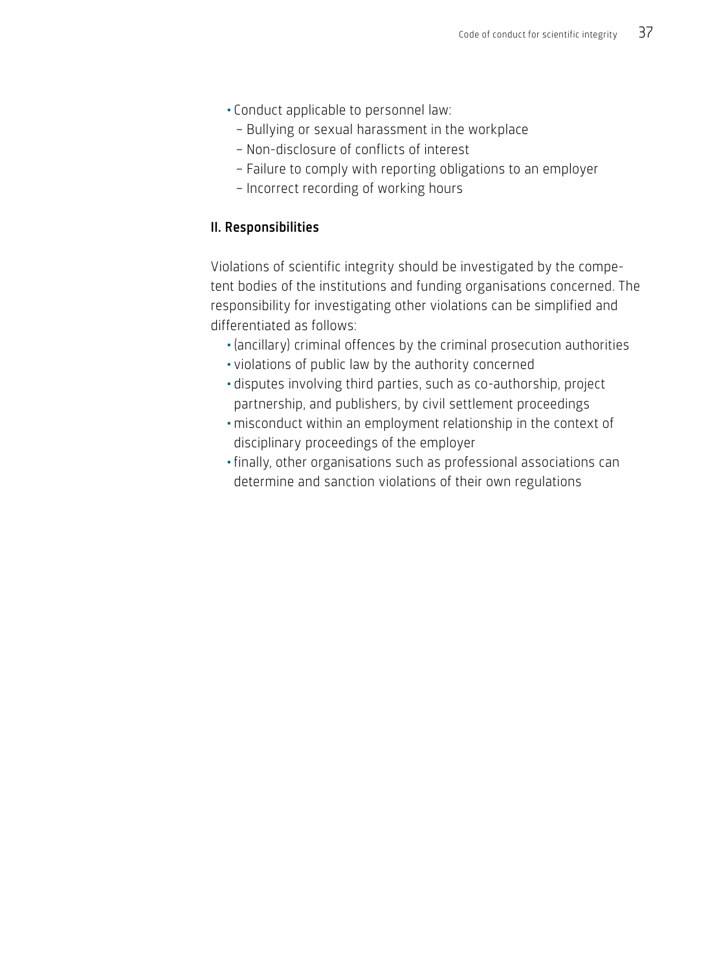- Conduct applicable to personnel law:
	- Bullying or sexual harassment in the workplace
	- Non-disclosure of conflicts of interest
	- Failure to comply with reporting obligations to an employer
	- Incorrect recording of working hours

#### II. Responsibilities

Violations of scientific integrity should be investigated by the competent bodies of the institutions and funding organisations concerned. The responsibility for investigating other violations can be simplified and differentiated as follows:

- (ancillary) criminal offences by the criminal prosecution authorities
- violations of public law by the authority concerned
- disputes involving third parties, such as co-authorship, project partnership, and publishers, by civil settlement proceedings
- misconduct within an employment relationship in the context of disciplinary proceedings of the employer
- finally, other organisations such as professional associations can determine and sanction violations of their own regulations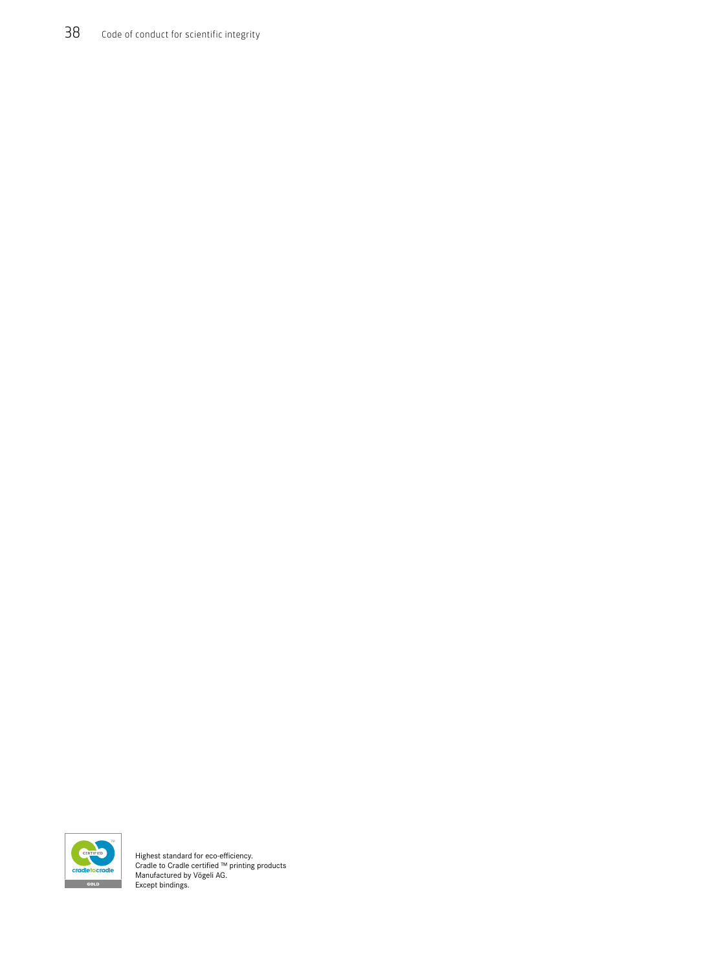

Highest standard for eco-efficiency.<br>Cradle to Cradle certified ™ printing product<br>Manufactured by Vögeli AG.<br>Except bindings. Highest standard for eco-efficiency.<br>Cradle to Cradle certified ™ printing products<br>Manufactured by Vögeli AG.<br>Except bindings. Highest standard for eco-efficiency.<br>Cradle to Cradle certified ™ printing products<br>Manufactured by Vögeli AG.<br>Except bindings.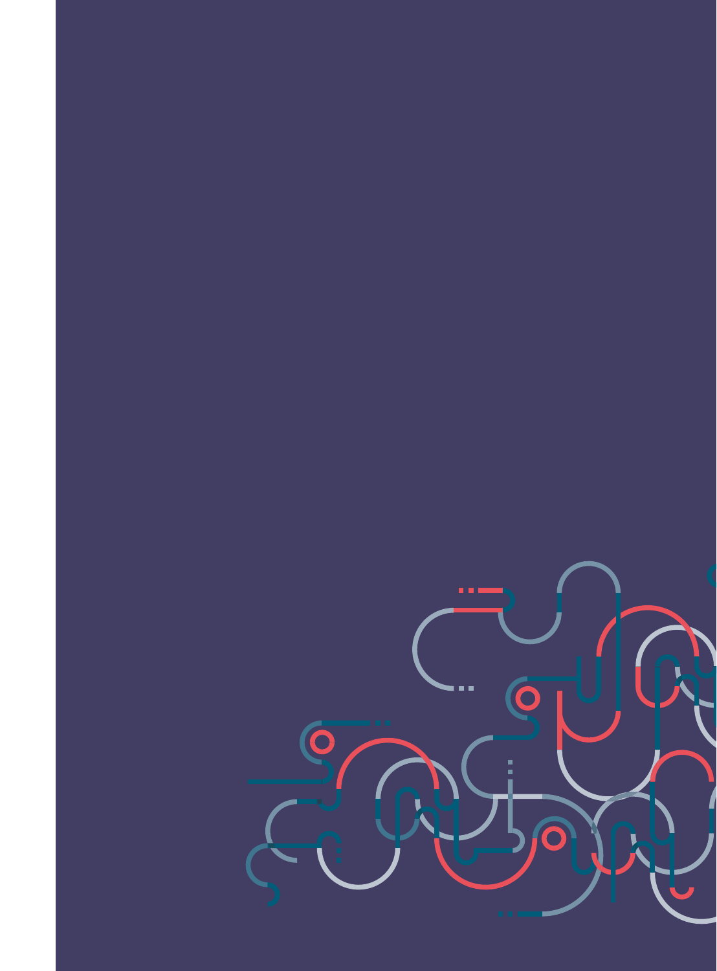